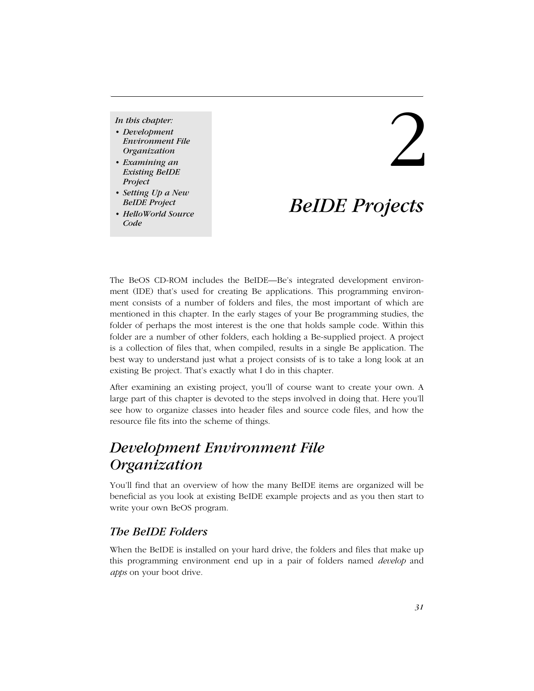#### *In this chapter:*

- *Development Environment File Organization*
- *Examining an Existing BeIDE Project*
- *Setting Up a New BeIDE Project*
- *HelloWorld Source Code*

# 2

# *2.BeIDE Projects*

The BeOS CD-ROM includes the BeIDE—Be's integrated development environment (IDE) that's used for creating Be applications. This programming environment consists of a number of folders and files, the most important of which are mentioned in this chapter. In the early stages of your Be programming studies, the folder of perhaps the most interest is the one that holds sample code. Within this folder are a number of other folders, each holding a Be-supplied project. A project is a collection of files that, when compiled, results in a single Be application. The best way to understand just what a project consists of is to take a long look at an existing Be project. That's exactly what I do in this chapter.

After examining an existing project, you'll of course want to create your own. A large part of this chapter is devoted to the steps involved in doing that. Here you'll see how to organize classes into header files and source code files, and how the resource file fits into the scheme of things.

# *Development Environment File Organization*

You'll find that an overview of how the many BeIDE items are organized will be beneficial as you look at existing BeIDE example projects and as you then start to write your own BeOS program.

# *The BeIDE Folders*

When the BeIDE is installed on your hard drive, the folders and files that make up this programming environment end up in a pair of folders named *develop* and *apps* on your boot drive.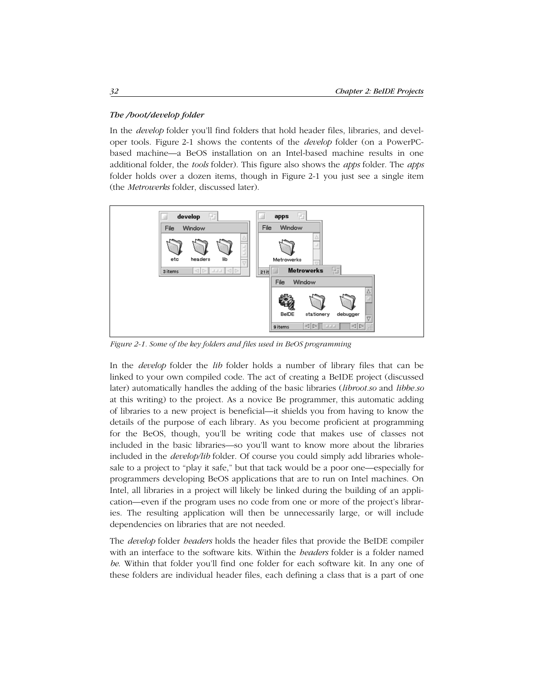#### *The /boot/develop folder*

In the *develop* folder you'll find folders that hold header files, libraries, and developer tools. Figure 2-1 shows the contents of the *develop* folder (on a PowerPCbased machine—a BeOS installation on an Intel-based machine results in one additional folder, the *tools* folder). This figure also shows the *apps* folder. The *apps* folder holds over a dozen items, though in Figure 2-1 you just see a single item (the *Metrowerks* folder, discussed later).



*Figure 2-1. Some of the key folders and files used in BeOS programming*

In the *develop* folder the *lib* folder holds a number of library files that can be linked to your own compiled code. The act of creating a BeIDE project (discussed later) automatically handles the adding of the basic libraries (*libroot.so* and *libbe.so* at this writing) to the project. As a novice Be programmer, this automatic adding of libraries to a new project is beneficial—it shields you from having to know the details of the purpose of each library. As you become proficient at programming for the BeOS, though, you'll be writing code that makes use of classes not included in the basic libraries—so you'll want to know more about the libraries included in the *develop/lib* folder. Of course you could simply add libraries wholesale to a project to "play it safe," but that tack would be a poor one—especially for programmers developing BeOS applications that are to run on Intel machines. On Intel, all libraries in a project will likely be linked during the building of an application—even if the program uses no code from one or more of the project's libraries. The resulting application will then be unnecessarily large, or will include dependencies on libraries that are not needed.

The *develop* folder *headers* holds the header files that provide the BeIDE compiler with an interface to the software kits. Within the *headers* folder is a folder named *be*. Within that folder you'll find one folder for each software kit. In any one of these folders are individual header files, each defining a class that is a part of one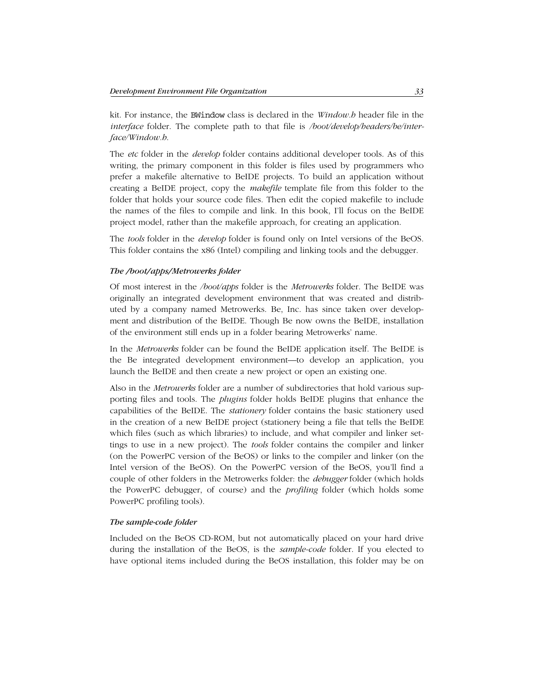kit. For instance, the BWindow class is declared in the *Window.h* header file in the *interface* folder. The complete path to that file is */boot/develop/headers/be/interface/Window.h*.

The *etc* folder in the *develop* folder contains additional developer tools. As of this writing, the primary component in this folder is files used by programmers who prefer a makefile alternative to BeIDE projects. To build an application without creating a BeIDE project, copy the *makefile* template file from this folder to the folder that holds your source code files. Then edit the copied makefile to include the names of the files to compile and link. In this book, I'll focus on the BeIDE project model, rather than the makefile approach, for creating an application.

The *tools* folder in the *develop* folder is found only on Intel versions of the BeOS. This folder contains the x86 (Intel) compiling and linking tools and the debugger.

#### *The /boot/apps/Metrowerks folder*

Of most interest in the */boot/apps* folder is the *Metrowerks* folder. The BeIDE was originally an integrated development environment that was created and distributed by a company named Metrowerks. Be, Inc. has since taken over development and distribution of the BeIDE. Though Be now owns the BeIDE, installation of the environment still ends up in a folder bearing Metrowerks' name.

In the *Metrowerks* folder can be found the BeIDE application itself. The BeIDE is the Be integrated development environment—to develop an application, you launch the BeIDE and then create a new project or open an existing one.

Also in the *Metrowerks* folder are a number of subdirectories that hold various supporting files and tools. The *plugins* folder holds BeIDE plugins that enhance the capabilities of the BeIDE. The *stationery* folder contains the basic stationery used in the creation of a new BeIDE project (stationery being a file that tells the BeIDE which files (such as which libraries) to include, and what compiler and linker settings to use in a new project). The *tools* folder contains the compiler and linker (on the PowerPC version of the BeOS) or links to the compiler and linker (on the Intel version of the BeOS). On the PowerPC version of the BeOS, you'll find a couple of other folders in the Metrowerks folder: the *debugger* folder (which holds the PowerPC debugger, of course) and the *profiling* folder (which holds some PowerPC profiling tools).

#### *The sample-code folder*

Included on the BeOS CD-ROM, but not automatically placed on your hard drive during the installation of the BeOS, is the *sample-code* folder. If you elected to have optional items included during the BeOS installation, this folder may be on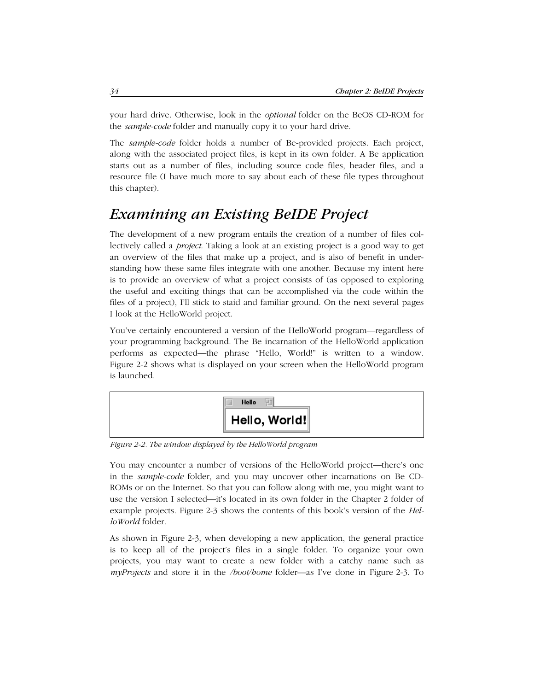your hard drive. Otherwise, look in the *optional* folder on the BeOS CD-ROM for the *sample-code* folder and manually copy it to your hard drive.

The *sample-code* folder holds a number of Be-provided projects. Each project, along with the associated project files, is kept in its own folder. A Be application starts out as a number of files, including source code files, header files, and a resource file (I have much more to say about each of these file types throughout this chapter).

# *Examining an Existing BeIDE Project*

The development of a new program entails the creation of a number of files collectively called a *project*. Taking a look at an existing project is a good way to get an overview of the files that make up a project, and is also of benefit in understanding how these same files integrate with one another. Because my intent here is to provide an overview of what a project consists of (as opposed to exploring the useful and exciting things that can be accomplished via the code within the files of a project), I'll stick to staid and familiar ground. On the next several pages I look at the HelloWorld project.

You've certainly encountered a version of the HelloWorld program—regardless of your programming background. The Be incarnation of the HelloWorld application performs as expected—the phrase "Hello, World!" is written to a window. Figure 2-2 shows what is displayed on your screen when the HelloWorld program is launched.



*Figure 2-2. The window displayed by the HelloWorld program*

You may encounter a number of versions of the HelloWorld project—there's one in the *sample-code* folder, and you may uncover other incarnations on Be CD-ROMs or on the Internet. So that you can follow along with me, you might want to use the version I selected—it's located in its own folder in the Chapter 2 folder of example projects. Figure 2-3 shows the contents of this book's version of the *HelloWorld* folder.

As shown in Figure 2-3, when developing a new application, the general practice is to keep all of the project's files in a single folder. To organize your own projects, you may want to create a new folder with a catchy name such as *myProjects* and store it in the */boot/home* folder—as I've done in Figure 2-3. To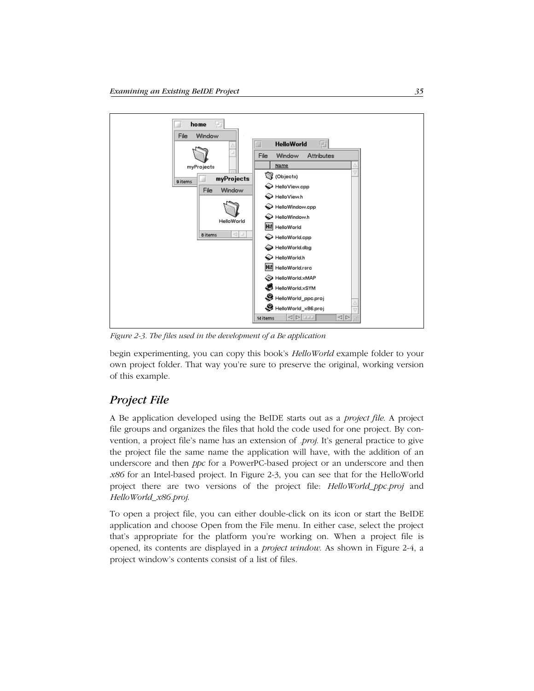

*Figure 2-3. The files used in the development of a Be application*

begin experimenting, you can copy this book's *HelloWorld* example folder to your own project folder. That way you're sure to preserve the original, working version of this example.

# *Project File*

A Be application developed using the BeIDE starts out as a *project file*. A project file groups and organizes the files that hold the code used for one project. By convention, a project file's name has an extension of *.proj*. It's general practice to give the project file the same name the application will have, with the addition of an underscore and then *ppc* for a PowerPC-based project or an underscore and then *x86* for an Intel-based project. In Figure 2-3, you can see that for the HelloWorld project there are two versions of the project file: *HelloWorld\_ppc.proj* and *HelloWorld\_x86.proj*.

To open a project file, you can either double-click on its icon or start the BeIDE application and choose Open from the File menu. In either case, select the project that's appropriate for the platform you're working on. When a project file is opened, its contents are displayed in a *project window*. As shown in Figure 2-4, a project window's contents consist of a list of files.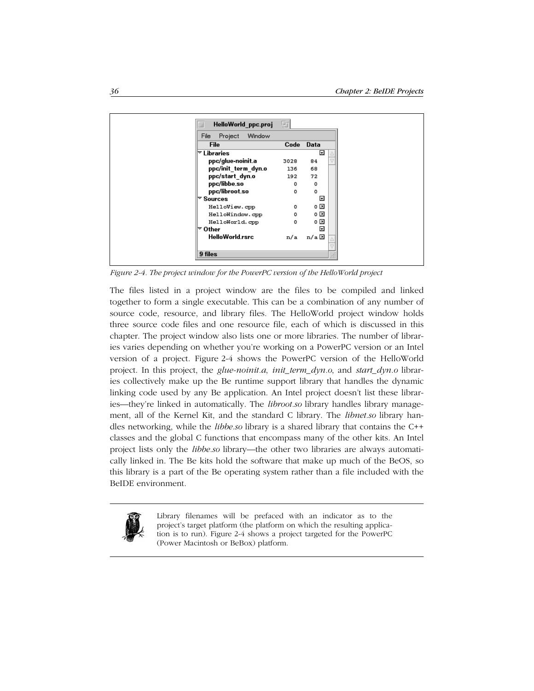

*Figure 2-4. The project window for the PowerPC version of the HelloWorld project*

The files listed in a project window are the files to be compiled and linked together to form a single executable. This can be a combination of any number of source code, resource, and library files. The HelloWorld project window holds three source code files and one resource file, each of which is discussed in this chapter. The project window also lists one or more libraries. The number of libraries varies depending on whether you're working on a PowerPC version or an Intel version of a project. Figure 2-4 shows the PowerPC version of the HelloWorld project. In this project, the *glue-noinit.a*, *init\_term\_dyn.o*, and *start\_dyn.o* libraries collectively make up the Be runtime support library that handles the dynamic linking code used by any Be application. An Intel project doesn't list these libraries—they're linked in automatically. The *libroot.so* library handles library management, all of the Kernel Kit, and the standard C library. The *libnet.so* library handles networking, while the *libbe.so* library is a shared library that contains the C++ classes and the global C functions that encompass many of the other kits. An Intel project lists only the *libbe.so* library—the other two libraries are always automatically linked in. The Be kits hold the software that make up much of the BeOS, so this library is a part of the Be operating system rather than a file included with the BeIDE environment.



Library filenames will be prefaced with an indicator as to the project's target platform (the platform on which the resulting application is to run). Figure 2-4 shows a project targeted for the PowerPC (Power Macintosh or BeBox) platform.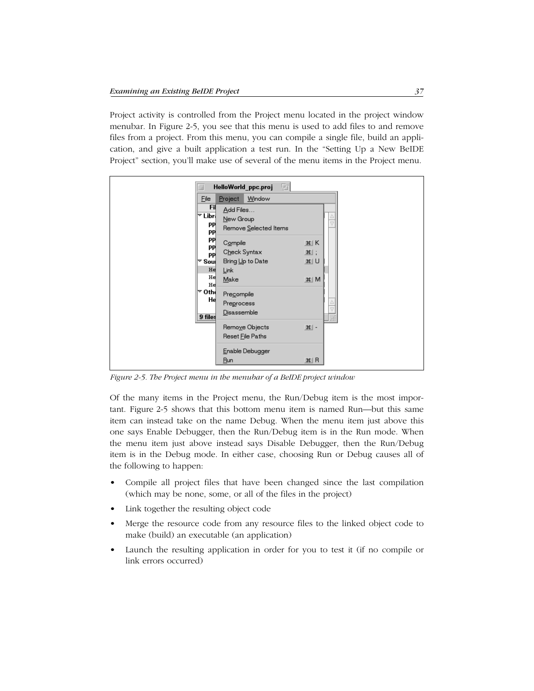Project activity is controlled from the Project menu located in the project window menubar. In Figure 2-5, you see that this menu is used to add files to and remove files from a project. From this menu, you can compile a single file, build an application, and give a built application a test run. In the "Setting Up a New BeIDE Project" section, you'll make use of several of the menu items in the Project menu.



*Figure 2-5. The Project menu in the menubar of a BeIDE project window*

Of the many items in the Project menu, the Run/Debug item is the most important. Figure 2-5 shows that this bottom menu item is named Run—but this same item can instead take on the name Debug. When the menu item just above this one says Enable Debugger, then the Run/Debug item is in the Run mode. When the menu item just above instead says Disable Debugger, then the Run/Debug item is in the Debug mode. In either case, choosing Run or Debug causes all of the following to happen:

- Compile all project files that have been changed since the last compilation (which may be none, some, or all of the files in the project)
- Link together the resulting object code
- Merge the resource code from any resource files to the linked object code to make (build) an executable (an application)
- Launch the resulting application in order for you to test it (if no compile or link errors occurred)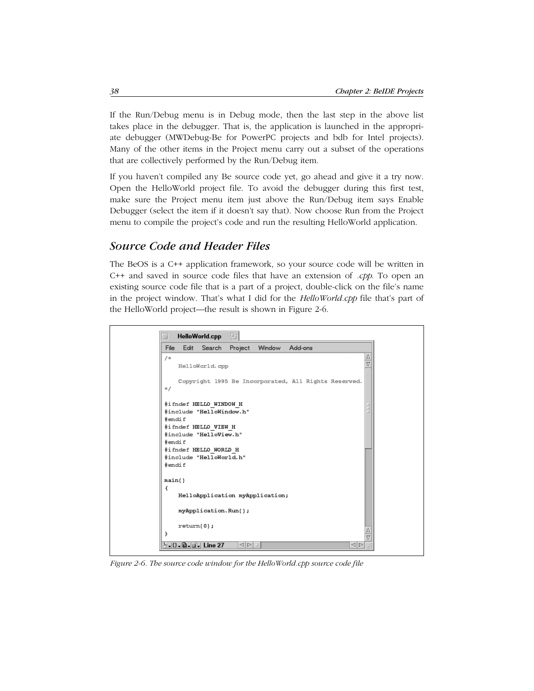If the Run/Debug menu is in Debug mode, then the last step in the above list takes place in the debugger. That is, the application is launched in the appropriate debugger (MWDebug-Be for PowerPC projects and bdb for Intel projects). Many of the other items in the Project menu carry out a subset of the operations that are collectively performed by the Run/Debug item.

If you haven't compiled any Be source code yet, go ahead and give it a try now. Open the HelloWorld project file. To avoid the debugger during this first test, make sure the Project menu item just above the Run/Debug item says Enable Debugger (select the item if it doesn't say that). Now choose Run from the Project menu to compile the project's code and run the resulting HelloWorld application.

# *Source Code and Header Files*

The BeOS is a C++ application framework, so your source code will be written in C++ and saved in source code files that have an extension of *.cpp*. To open an existing source code file that is a part of a project, double-click on the file's name in the project window. That's what I did for the *HelloWorld.cpp* file that's part of the HelloWorld project—the result is shown in Figure 2-6.



*Figure 2-6. The source code window for the HelloWorld.cpp source code file*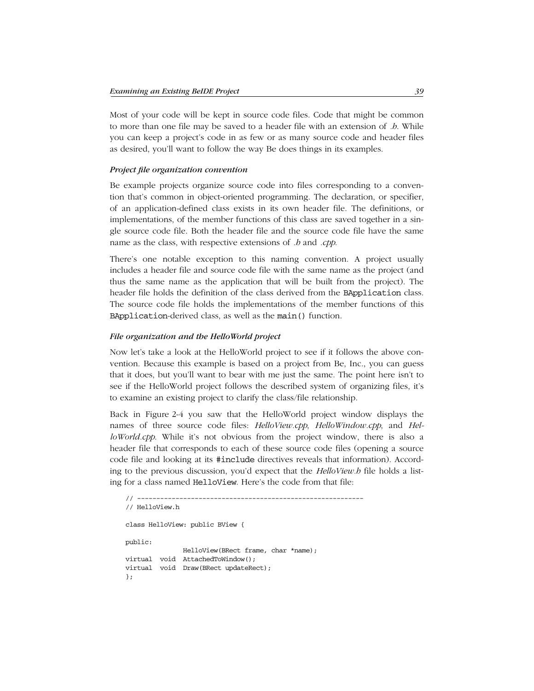Most of your code will be kept in source code files. Code that might be common to more than one file may be saved to a header file with an extension of *.h*. While you can keep a project's code in as few or as many source code and header files as desired, you'll want to follow the way Be does things in its examples.

#### *Project file organization convention*

Be example projects organize source code into files corresponding to a convention that's common in object-oriented programming. The declaration, or specifier, of an application-defined class exists in its own header file. The definitions, or implementations, of the member functions of this class are saved together in a single source code file. Both the header file and the source code file have the same name as the class, with respective extensions of *.h* and *.cpp*.

There's one notable exception to this naming convention. A project usually includes a header file and source code file with the same name as the project (and thus the same name as the application that will be built from the project). The header file holds the definition of the class derived from the BApplication class. The source code file holds the implementations of the member functions of this BApplication-derived class, as well as the main() function.

#### *File organization and the HelloWorld project*

Now let's take a look at the HelloWorld project to see if it follows the above convention. Because this example is based on a project from Be, Inc., you can guess that it does, but you'll want to bear with me just the same. The point here isn't to see if the HelloWorld project follows the described system of organizing files, it's to examine an existing project to clarify the class/file relationship.

Back in Figure 2-4 you saw that the HelloWorld project window displays the names of three source code files: *HelloView.cpp*, *HelloWindow.cpp*, and *HelloWorld.cpp*. While it's not obvious from the project window, there is also a header file that corresponds to each of these source code files (opening a source code file and looking at its #include directives reveals that information). According to the previous discussion, you'd expect that the *HelloView.h* file holds a listing for a class named HelloView. Here's the code from that file:

```
// -----------------------------------------------------------
// HelloView.h
class HelloView: public BView {
public:
                    HelloView(BRect frame, char *name);
virtual void AttachedToWindow();
virtual void Draw(BRect updateRect);
};
```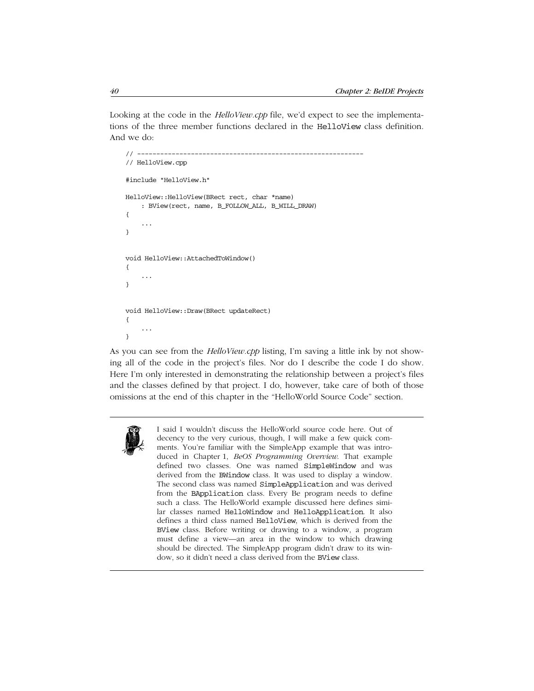Looking at the code in the *HelloView.cpp* file, we'd expect to see the implementations of the three member functions declared in the HelloView class definition. And we do:

```
// -----------------------------------------------------------
// HelloView.cpp
#include "HelloView.h"
HelloView::HelloView(BRect rect, char *name)
      : BView(rect, name, B_FOLLOW_ALL, B_WILL_DRAW)
{
 ...
}
void HelloView::AttachedToWindow()
{
      ...
}
void HelloView::Draw(BRect updateRect)
{
 ...
}
```
As you can see from the *HelloView.cpp* listing, I'm saving a little ink by not showing all of the code in the project's files. Nor do I describe the code I do show. Here I'm only interested in demonstrating the relationship between a project's files and the classes defined by that project. I do, however, take care of both of those omissions at the end of this chapter in the "HelloWorld Source Code" section.



I said I wouldn't discuss the HelloWorld source code here. Out of decency to the very curious, though, I will make a few quick comments. You're familiar with the SimpleApp example that was introduced in Chapter 1, *BeOS Programming Overview*. That example defined two classes. One was named SimpleWindow and was derived from the BWindow class. It was used to display a window. The second class was named SimpleApplication and was derived from the BApplication class. Every Be program needs to define such a class. The HelloWorld example discussed here defines similar classes named HelloWindow and HelloApplication. It also defines a third class named HelloView, which is derived from the BView class. Before writing or drawing to a window, a program must define a view—an area in the window to which drawing should be directed. The SimpleApp program didn't draw to its window, so it didn't need a class derived from the BView class.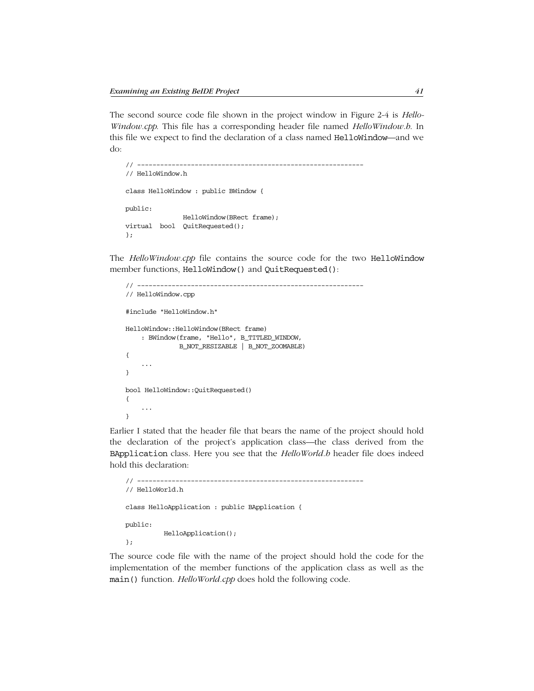The second source code file shown in the project window in Figure 2-4 is *Hello-Window.cpp*. This file has a corresponding header file named *HelloWindow.h*. In this file we expect to find the declaration of a class named HelloWindow—and we do:

```
// -----------------------------------------------------------
// HelloWindow.h
class HelloWindow : public BWindow {
public:
                HelloWindow(BRect frame);
virtual bool QuitRequested();
};
```
The *HelloWindow.cpp* file contains the source code for the two HelloWindow member functions, HelloWindow() and QuitRequested():

```
11 - 200// HelloWindow.cpp
#include "HelloWindow.h"
HelloWindow::HelloWindow(BRect frame)
     : BWindow(frame, "Hello", B_TITLED_WINDOW,
              B_NOT_RESIZABLE | B_NOT_ZOOMABLE)
{
     ...
}
bool HelloWindow::QuitRequested()
{
     ...
}
```
Earlier I stated that the header file that bears the name of the project should hold the declaration of the project's application class—the class derived from the BApplication class. Here you see that the *HelloWorld.h* header file does indeed hold this declaration:

```
// -----------------------------------------------------------
// HelloWorld.h
class HelloApplication : public BApplication {
public:
           HelloApplication();
};
```
The source code file with the name of the project should hold the code for the implementation of the member functions of the application class as well as the main() function. *HelloWorld.cpp* does hold the following code.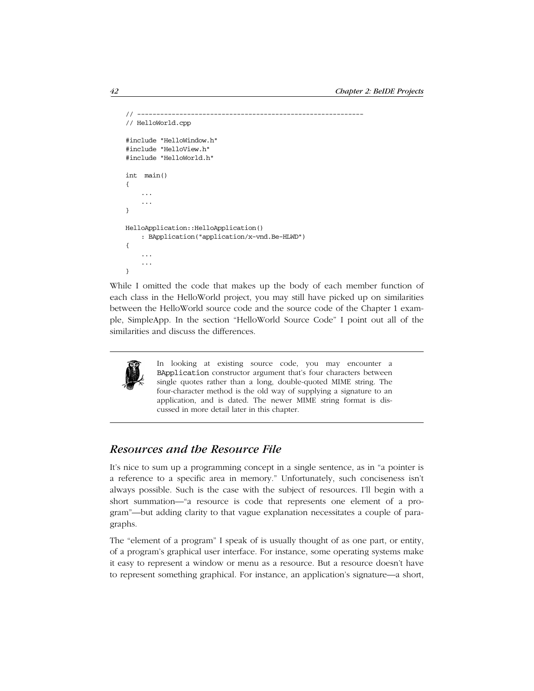```
11 ------
// HelloWorld.cpp
#include "HelloWindow.h"
#include "HelloView.h"
#include "HelloWorld.h"
int main()
{
     ...
     ...
}
HelloApplication::HelloApplication()
     : BApplication("application/x-vnd.Be-HLWD")
{
     ...
     ...
}
```
While I omitted the code that makes up the body of each member function of each class in the HelloWorld project, you may still have picked up on similarities between the HelloWorld source code and the source code of the Chapter 1 example, SimpleApp. In the section "HelloWorld Source Code" I point out all of the similarities and discuss the differences.



In looking at existing source code, you may encounter a BApplication constructor argument that's four characters between single quotes rather than a long, double-quoted MIME string. The four-character method is the old way of supplying a signature to an application, and is dated. The newer MIME string format is discussed in more detail later in this chapter.

# *Resources and the Resource File*

It's nice to sum up a programming concept in a single sentence, as in "a pointer is a reference to a specific area in memory." Unfortunately, such conciseness isn't always possible. Such is the case with the subject of resources. I'll begin with a short summation—"a resource is code that represents one element of a program"—but adding clarity to that vague explanation necessitates a couple of paragraphs.

The "element of a program" I speak of is usually thought of as one part, or entity, of a program's graphical user interface. For instance, some operating systems make it easy to represent a window or menu as a resource. But a resource doesn't have to represent something graphical. For instance, an application's signature—a short,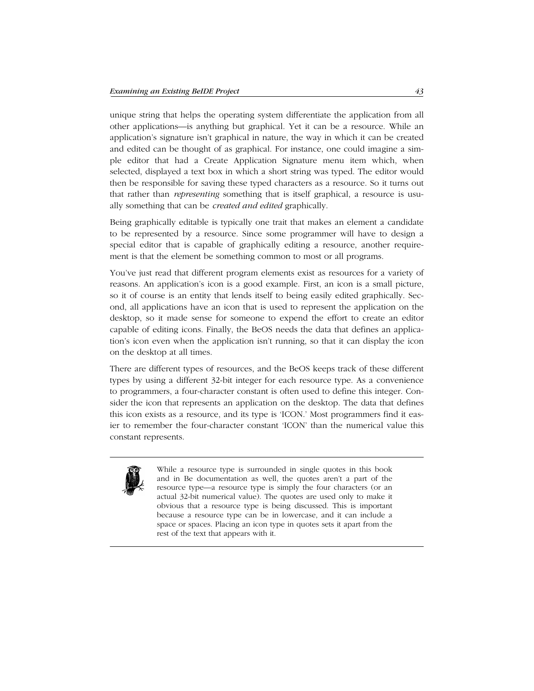unique string that helps the operating system differentiate the application from all other applications—is anything but graphical. Yet it can be a resource. While an application's signature isn't graphical in nature, the way in which it can be created and edited can be thought of as graphical. For instance, one could imagine a simple editor that had a Create Application Signature menu item which, when selected, displayed a text box in which a short string was typed. The editor would then be responsible for saving these typed characters as a resource. So it turns out that rather than *representing* something that is itself graphical, a resource is usually something that can be *created and edited* graphically.

Being graphically editable is typically one trait that makes an element a candidate to be represented by a resource. Since some programmer will have to design a special editor that is capable of graphically editing a resource, another requirement is that the element be something common to most or all programs.

You've just read that different program elements exist as resources for a variety of reasons. An application's icon is a good example. First, an icon is a small picture, so it of course is an entity that lends itself to being easily edited graphically. Second, all applications have an icon that is used to represent the application on the desktop, so it made sense for someone to expend the effort to create an editor capable of editing icons. Finally, the BeOS needs the data that defines an application's icon even when the application isn't running, so that it can display the icon on the desktop at all times.

There are different types of resources, and the BeOS keeps track of these different types by using a different 32-bit integer for each resource type. As a convenience to programmers, a four-character constant is often used to define this integer. Consider the icon that represents an application on the desktop. The data that defines this icon exists as a resource, and its type is 'ICON.' Most programmers find it easier to remember the four-character constant 'ICON' than the numerical value this constant represents.



While a resource type is surrounded in single quotes in this book and in Be documentation as well, the quotes aren't a part of the resource type—a resource type is simply the four characters (or an actual 32-bit numerical value). The quotes are used only to make it obvious that a resource type is being discussed. This is important because a resource type can be in lowercase, and it can include a space or spaces. Placing an icon type in quotes sets it apart from the rest of the text that appears with it.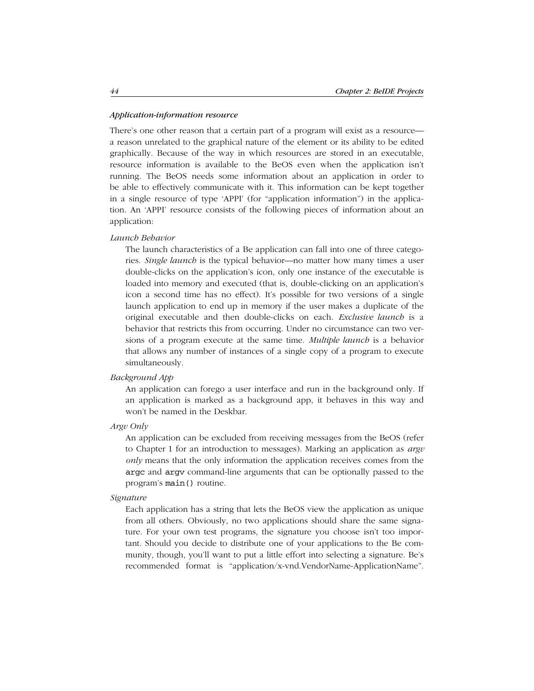#### *Application-information resource*

There's one other reason that a certain part of a program will exist as a resource a reason unrelated to the graphical nature of the element or its ability to be edited graphically. Because of the way in which resources are stored in an executable, resource information is available to the BeOS even when the application isn't running. The BeOS needs some information about an application in order to be able to effectively communicate with it. This information can be kept together in a single resource of type 'APPI' (for "application information") in the application. An 'APPI' resource consists of the following pieces of information about an application:

#### *Launch Behavior*

The launch characteristics of a Be application can fall into one of three categories. *Single launch* is the typical behavior—no matter how many times a user double-clicks on the application's icon, only one instance of the executable is loaded into memory and executed (that is, double-clicking on an application's icon a second time has no effect). It's possible for two versions of a single launch application to end up in memory if the user makes a duplicate of the original executable and then double-clicks on each. *Exclusive launch* is a behavior that restricts this from occurring. Under no circumstance can two versions of a program execute at the same time. *Multiple launch* is a behavior that allows any number of instances of a single copy of a program to execute simultaneously.

#### *Background App*

An application can forego a user interface and run in the background only. If an application is marked as a background app, it behaves in this way and won't be named in the Deskbar.

#### *Argv Only*

An application can be excluded from receiving messages from the BeOS (refer to Chapter 1 for an introduction to messages). Marking an application as *argv only* means that the only information the application receives comes from the argc and argv command-line arguments that can be optionally passed to the program's main() routine.

#### *Signature*

Each application has a string that lets the BeOS view the application as unique from all others. Obviously, no two applications should share the same signature. For your own test programs, the signature you choose isn't too important. Should you decide to distribute one of your applications to the Be community, though, you'll want to put a little effort into selecting a signature. Be's recommended format is "application/x-vnd.VendorName-ApplicationName".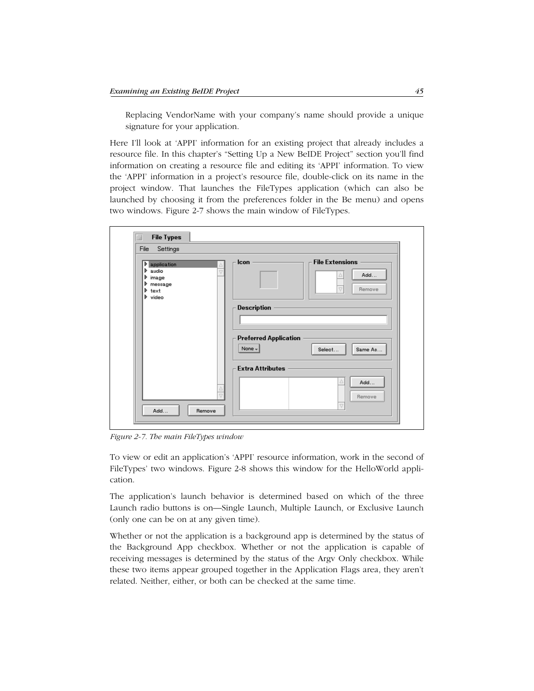Replacing VendorName with your company's name should provide a unique signature for your application.

Here I'll look at 'APPI' information for an existing project that already includes a resource file. In this chapter's "Setting Up a New BeIDE Project" section you'll find information on creating a resource file and editing its 'APPI' information. To view the 'APPI' information in a project's resource file, double-click on its name in the project window. That launches the FileTypes application (which can also be launched by choosing it from the preferences folder in the Be menu) and opens two windows. Figure 2-7 shows the main window of FileTypes.

| <b>File Types</b>                                                                                                                              |                                                                        |
|------------------------------------------------------------------------------------------------------------------------------------------------|------------------------------------------------------------------------|
| Settings<br>File                                                                                                                               |                                                                        |
| $\triangleright$ application<br>$\triangleright$ audio<br>$\triangleright$ image<br>message<br>$\triangleright$ text<br>$\triangleright$ video | <b>File Extensions</b><br>Icon<br>Δ<br>Add<br>Remove<br>Description    |
|                                                                                                                                                | <b>Preferred Application</b><br>None $\mathbf{v}$<br>Same As<br>Select |
| Add<br>Remove                                                                                                                                  | <b>Extra Attributes</b><br>Add<br>Remove<br>$\triangledown$            |

*Figure 2-7. The main FileTypes window*

To view or edit an application's 'APPI' resource information, work in the second of FileTypes' two windows. Figure 2-8 shows this window for the HelloWorld application.

The application's launch behavior is determined based on which of the three Launch radio buttons is on—Single Launch, Multiple Launch, or Exclusive Launch (only one can be on at any given time).

Whether or not the application is a background app is determined by the status of the Background App checkbox. Whether or not the application is capable of receiving messages is determined by the status of the Argv Only checkbox. While these two items appear grouped together in the Application Flags area, they aren't related. Neither, either, or both can be checked at the same time.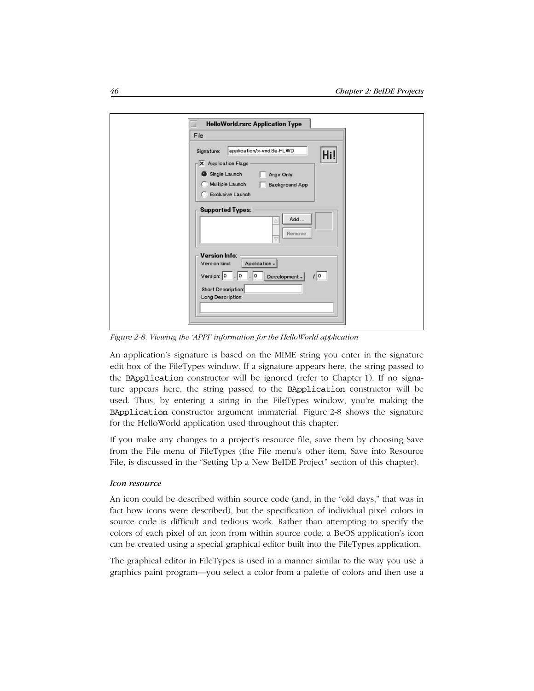| HelloWorld.rsrc Application Type                                                                                                                                                                                     |
|----------------------------------------------------------------------------------------------------------------------------------------------------------------------------------------------------------------------|
| File                                                                                                                                                                                                                 |
| application/x-vnd.Be-HLWD<br>Signature:<br>Hi!<br><b>Application Flags</b><br>≅<br>Single Launch<br>Argv Only<br>Multiple Launch<br>Background App<br><b>Exclusive Launch</b><br><b>Supported Types:</b><br>Add<br>Δ |
| Remove<br>Version Info:<br>Application +<br>Version kind:<br> 0<br>10<br>Version: 0<br>∥o<br>Development +<br>Short Description:<br>Long Description:                                                                |

*Figure 2-8. Viewing the 'APPI' information for the HelloWorld application*

An application's signature is based on the MIME string you enter in the signature edit box of the FileTypes window. If a signature appears here, the string passed to the BApplication constructor will be ignored (refer to Chapter 1). If no signature appears here, the string passed to the BApplication constructor will be used. Thus, by entering a string in the FileTypes window, you're making the BApplication constructor argument immaterial. Figure 2-8 shows the signature for the HelloWorld application used throughout this chapter.

If you make any changes to a project's resource file, save them by choosing Save from the File menu of FileTypes (the File menu's other item, Save into Resource File, is discussed in the "Setting Up a New BeIDE Project" section of this chapter).

#### *Icon resource*

An icon could be described within source code (and, in the "old days," that was in fact how icons were described), but the specification of individual pixel colors in source code is difficult and tedious work. Rather than attempting to specify the colors of each pixel of an icon from within source code, a BeOS application's icon can be created using a special graphical editor built into the FileTypes application.

The graphical editor in FileTypes is used in a manner similar to the way you use a graphics paint program—you select a color from a palette of colors and then use a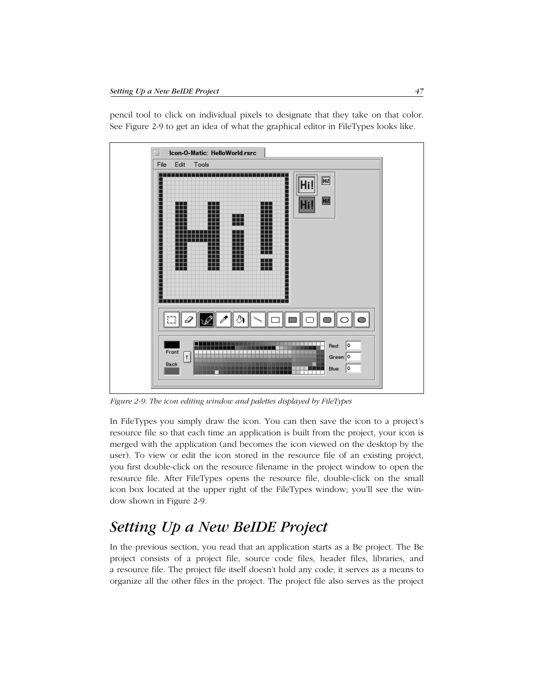

pencil tool to click on individual pixels to designate that they take on that color. See Figure 2-9 to get an idea of what the graphical editor in FileTypes looks like.

*Figure 2-9. The icon editing window and palettes displayed by FileTypes*

In FileTypes you simply draw the icon. You can then save the icon to a project's resource file so that each time an application is built from the project, your icon is merged with the application (and becomes the icon viewed on the desktop by the user). To view or edit the icon stored in the resource file of an existing project, you first double-click on the resource filename in the project window to open the resource file. After FileTypes opens the resource file, double-click on the small icon box located at the upper right of the FileTypes window; you'll see the window shown in Figure 2-9.

# *Setting Up a New BeIDE Project*

In the previous section, you read that an application starts as a Be project. The Be project consists of a project file, source code files, header files, libraries, and a resource file. The project file itself doesn't hold any code; it serves as a means to organize all the other files in the project. The project file also serves as the project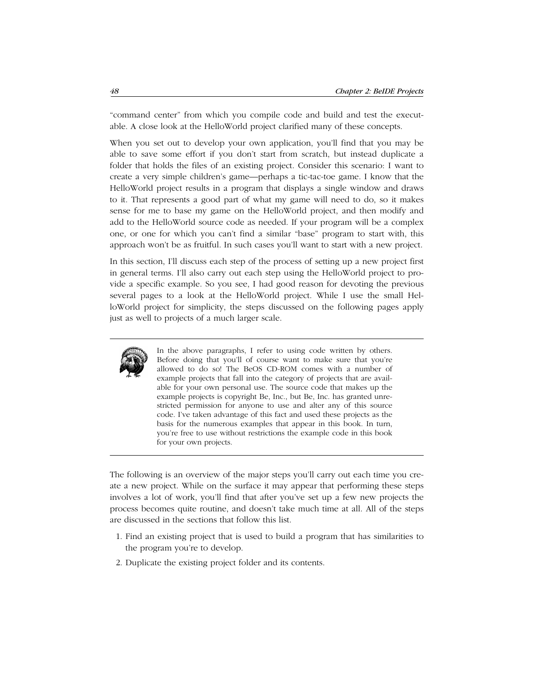"command center" from which you compile code and build and test the executable. A close look at the HelloWorld project clarified many of these concepts.

When you set out to develop your own application, you'll find that you may be able to save some effort if you don't start from scratch, but instead duplicate a folder that holds the files of an existing project. Consider this scenario: I want to create a very simple children's game—perhaps a tic-tac-toe game. I know that the HelloWorld project results in a program that displays a single window and draws to it. That represents a good part of what my game will need to do, so it makes sense for me to base my game on the HelloWorld project, and then modify and add to the HelloWorld source code as needed. If your program will be a complex one, or one for which you can't find a similar "base" program to start with, this approach won't be as fruitful. In such cases you'll want to start with a new project.

In this section, I'll discuss each step of the process of setting up a new project first in general terms. I'll also carry out each step using the HelloWorld project to provide a specific example. So you see, I had good reason for devoting the previous several pages to a look at the HelloWorld project. While I use the small HelloWorld project for simplicity, the steps discussed on the following pages apply just as well to projects of a much larger scale.



In the above paragraphs, I refer to using code written by others. Before doing that you'll of course want to make sure that you're allowed to do so! The BeOS CD-ROM comes with a number of example projects that fall into the category of projects that are available for your own personal use. The source code that makes up the example projects is copyright Be, Inc., but Be, Inc. has granted unrestricted permission for anyone to use and alter any of this source code. I've taken advantage of this fact and used these projects as the basis for the numerous examples that appear in this book. In turn, you're free to use without restrictions the example code in this book for your own projects.

The following is an overview of the major steps you'll carry out each time you create a new project. While on the surface it may appear that performing these steps involves a lot of work, you'll find that after you've set up a few new projects the process becomes quite routine, and doesn't take much time at all. All of the steps are discussed in the sections that follow this list.

- 1. Find an existing project that is used to build a program that has similarities to the program you're to develop.
- 2. Duplicate the existing project folder and its contents.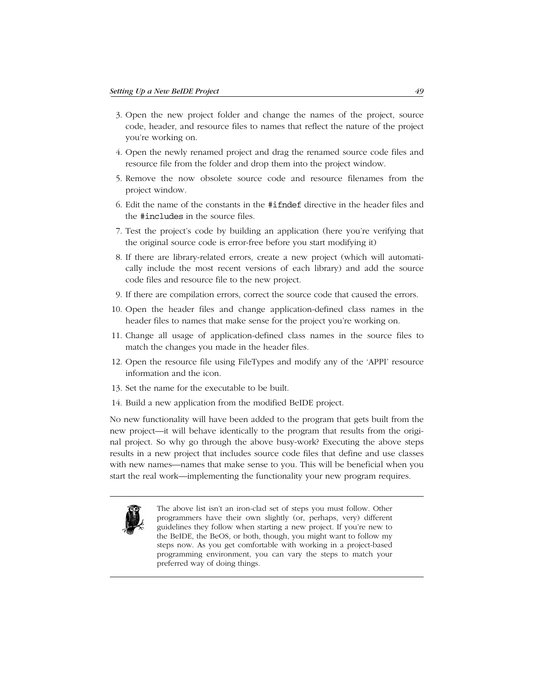- 3. Open the new project folder and change the names of the project, source code, header, and resource files to names that reflect the nature of the project you're working on.
- 4. Open the newly renamed project and drag the renamed source code files and resource file from the folder and drop them into the project window.
- 5. Remove the now obsolete source code and resource filenames from the project window.
- 6. Edit the name of the constants in the #ifndef directive in the header files and the #includes in the source files.
- 7. Test the project's code by building an application (here you're verifying that the original source code is error-free before you start modifying it)
- 8. If there are library-related errors, create a new project (which will automatically include the most recent versions of each library) and add the source code files and resource file to the new project.
- 9. If there are compilation errors, correct the source code that caused the errors.
- 10. Open the header files and change application-defined class names in the header files to names that make sense for the project you're working on.
- 11. Change all usage of application-defined class names in the source files to match the changes you made in the header files.
- 12. Open the resource file using FileTypes and modify any of the 'APPI' resource information and the icon.
- 13. Set the name for the executable to be built.
- 14. Build a new application from the modified BeIDE project.

No new functionality will have been added to the program that gets built from the new project—it will behave identically to the program that results from the original project. So why go through the above busy-work? Executing the above steps results in a new project that includes source code files that define and use classes with new names—names that make sense to you. This will be beneficial when you start the real work—implementing the functionality your new program requires.



The above list isn't an iron-clad set of steps you must follow. Other programmers have their own slightly (or, perhaps, very) different guidelines they follow when starting a new project. If you're new to the BeIDE, the BeOS, or both, though, you might want to follow my steps now. As you get comfortable with working in a project-based programming environment, you can vary the steps to match your preferred way of doing things.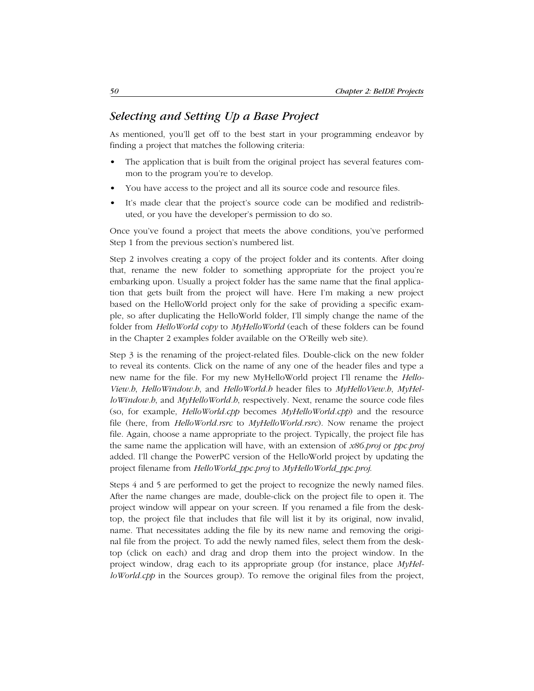## *Selecting and Setting Up a Base Project*

As mentioned, you'll get off to the best start in your programming endeavor by finding a project that matches the following criteria:

- The application that is built from the original project has several features common to the program you're to develop.
- You have access to the project and all its source code and resource files.
- It's made clear that the project's source code can be modified and redistributed, or you have the developer's permission to do so.

Once you've found a project that meets the above conditions, you've performed Step 1 from the previous section's numbered list.

Step 2 involves creating a copy of the project folder and its contents. After doing that, rename the new folder to something appropriate for the project you're embarking upon. Usually a project folder has the same name that the final application that gets built from the project will have. Here I'm making a new project based on the HelloWorld project only for the sake of providing a specific example, so after duplicating the HelloWorld folder, I'll simply change the name of the folder from *HelloWorld copy* to *MyHelloWorld* (each of these folders can be found in the Chapter 2 examples folder available on the O'Reilly web site).

Step 3 is the renaming of the project-related files. Double-click on the new folder to reveal its contents. Click on the name of any one of the header files and type a new name for the file. For my new MyHelloWorld project I'll rename the *Hello-View.h*, *HelloWindow.h*, and *HelloWorld.h* header files to *MyHelloView.h*, *MyHelloWindow.h*, and *MyHelloWorld.h*, respectively. Next, rename the source code files (so, for example, *HelloWorld.cpp* becomes *MyHelloWorld.cpp*) and the resource file (here, from *HelloWorld.rsrc* to *MyHelloWorld.rsrc*). Now rename the project file. Again, choose a name appropriate to the project. Typically, the project file has the same name the application will have, with an extension of *x86.proj* or *ppc.proj* added. I'll change the PowerPC version of the HelloWorld project by updating the project filename from *HelloWorld\_ppc.proj* to *MyHelloWorld\_ppc.proj*.

Steps 4 and 5 are performed to get the project to recognize the newly named files. After the name changes are made, double-click on the project file to open it. The project window will appear on your screen. If you renamed a file from the desktop, the project file that includes that file will list it by its original, now invalid, name. That necessitates adding the file by its new name and removing the original file from the project. To add the newly named files, select them from the desktop (click on each) and drag and drop them into the project window. In the project window, drag each to its appropriate group (for instance, place *MyHelloWorld.cpp* in the Sources group). To remove the original files from the project,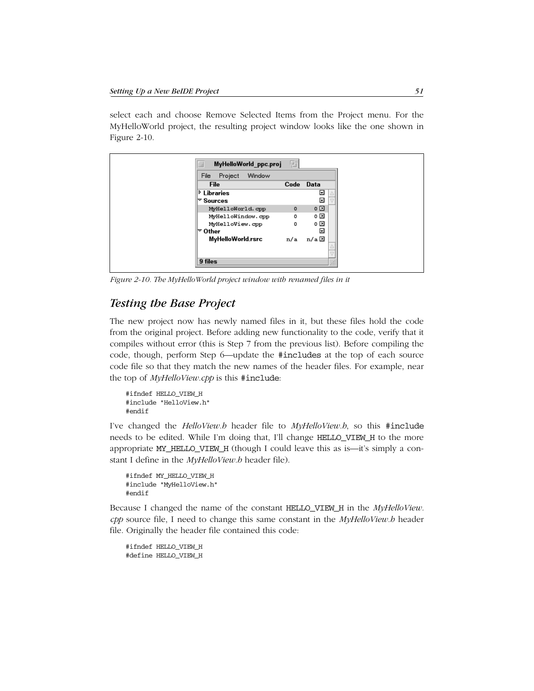select each and choose Remove Selected Items from the Project menu. For the MyHelloWorld project, the resulting project window looks like the one shown in Figure 2-10.

| 中         |                       |
|-----------|-----------------------|
|           |                       |
| Code Data |                       |
|           | ⊡                     |
|           | ⊡                     |
| $\circ$   | $\circ$ $\Box$        |
| o         | ㅇㅁ                    |
| o         | 이메                    |
|           | ⊡                     |
| n/a       | n/a ⊡                 |
|           |                       |
|           |                       |
|           |                       |
|           | MyHelloWorld_ppc.proj |

*Figure 2-10. The MyHelloWorld project window with renamed files in it*

# *Testing the Base Project*

The new project now has newly named files in it, but these files hold the code from the original project. Before adding new functionality to the code, verify that it compiles without error (this is Step 7 from the previous list). Before compiling the code, though, perform Step 6—update the #includes at the top of each source code file so that they match the new names of the header files. For example, near the top of *MyHelloView.cpp* is this #include:

```
#ifndef HELLO_VIEW_H
#include "HelloView.h"
#endif
```
I've changed the *HelloView.h* header file to *MyHelloView.h*, so this #include needs to be edited. While I'm doing that, I'll change HELLO\_VIEW\_H to the more appropriate MY\_HELLO\_VIEW\_H (though I could leave this as is—it's simply a constant I define in the *MyHelloView.h* header file).

```
#ifndef MY_HELLO_VIEW_H
#include "MyHelloView.h"
#endif
```
Because I changed the name of the constant HELLO\_VIEW\_H in the *MyHelloView. cpp* source file, I need to change this same constant in the *MyHelloView.h* header file. Originally the header file contained this code:

#ifndef HELLO\_VIEW\_H #define HELLO\_VIEW\_H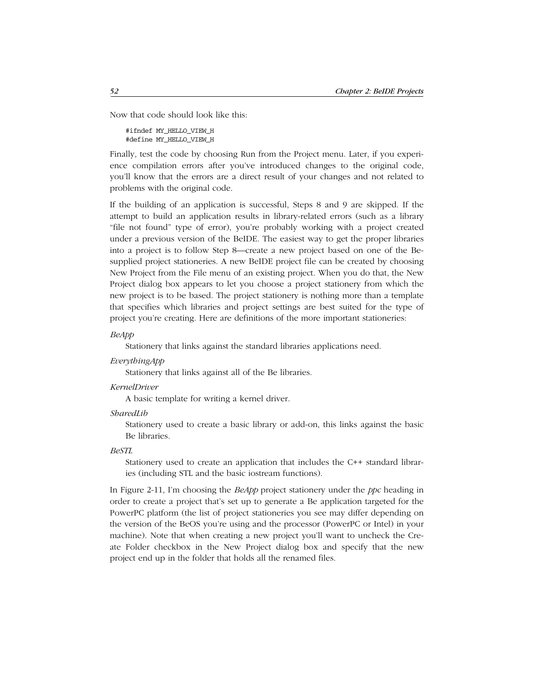Now that code should look like this:

```
#ifndef MY_HELLO_VIEW_H
#define MY_HELLO_VIEW_H
```
Finally, test the code by choosing Run from the Project menu. Later, if you experience compilation errors after you've introduced changes to the original code, you'll know that the errors are a direct result of your changes and not related to problems with the original code.

If the building of an application is successful, Steps 8 and 9 are skipped. If the attempt to build an application results in library-related errors (such as a library "file not found" type of error), you're probably working with a project created under a previous version of the BeIDE. The easiest way to get the proper libraries into a project is to follow Step 8—create a new project based on one of the Besupplied project stationeries. A new BeIDE project file can be created by choosing New Project from the File menu of an existing project. When you do that, the New Project dialog box appears to let you choose a project stationery from which the new project is to be based. The project stationery is nothing more than a template that specifies which libraries and project settings are best suited for the type of project you're creating. Here are definitions of the more important stationeries:

#### *BeApp*

Stationery that links against the standard libraries applications need.

#### *EverythingApp*

Stationery that links against all of the Be libraries.

#### *KernelDriver*

A basic template for writing a kernel driver.

#### *SharedLib*

Stationery used to create a basic library or add-on, this links against the basic Be libraries.

#### *BeSTL*

Stationery used to create an application that includes the C++ standard libraries (including STL and the basic iostream functions).

In Figure 2-11, I'm choosing the *BeApp* project stationery under the *ppc* heading in order to create a project that's set up to generate a Be application targeted for the PowerPC platform (the list of project stationeries you see may differ depending on the version of the BeOS you're using and the processor (PowerPC or Intel) in your machine). Note that when creating a new project you'll want to uncheck the Create Folder checkbox in the New Project dialog box and specify that the new project end up in the folder that holds all the renamed files.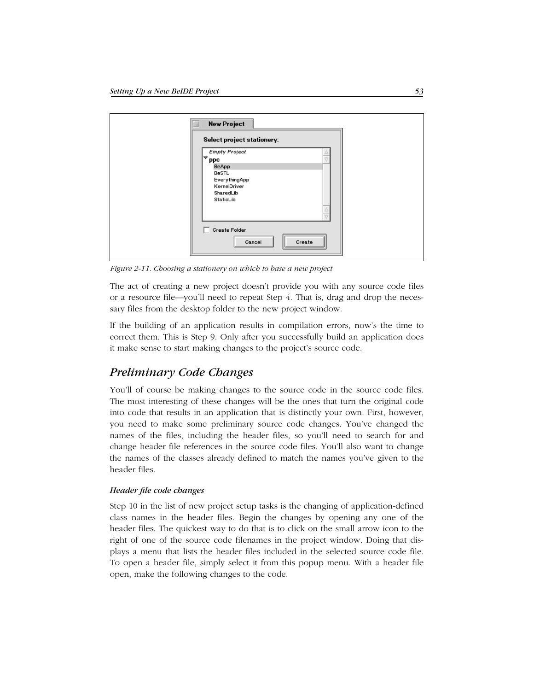| <b>New Project</b><br>Select project stationery:                                                              |
|---------------------------------------------------------------------------------------------------------------|
| <b>Empty Project</b><br>▿<br>ppc<br>BeApp<br>BeSTL<br>EverythingApp<br>KernelDriver<br>SharedLib<br>StaticLib |
| Create Folder<br>Create<br>Cancel                                                                             |

*Figure 2-11. Choosing a stationery on which to base a new project*

The act of creating a new project doesn't provide you with any source code files or a resource file—you'll need to repeat Step 4. That is, drag and drop the necessary files from the desktop folder to the new project window.

If the building of an application results in compilation errors, now's the time to correct them. This is Step 9. Only after you successfully build an application does it make sense to start making changes to the project's source code.

# *Preliminary Code Changes*

You'll of course be making changes to the source code in the source code files. The most interesting of these changes will be the ones that turn the original code into code that results in an application that is distinctly your own. First, however, you need to make some preliminary source code changes. You've changed the names of the files, including the header files, so you'll need to search for and change header file references in the source code files. You'll also want to change the names of the classes already defined to match the names you've given to the header files.

#### *Header file code changes*

Step 10 in the list of new project setup tasks is the changing of application-defined class names in the header files. Begin the changes by opening any one of the header files. The quickest way to do that is to click on the small arrow icon to the right of one of the source code filenames in the project window. Doing that displays a menu that lists the header files included in the selected source code file. To open a header file, simply select it from this popup menu. With a header file open, make the following changes to the code.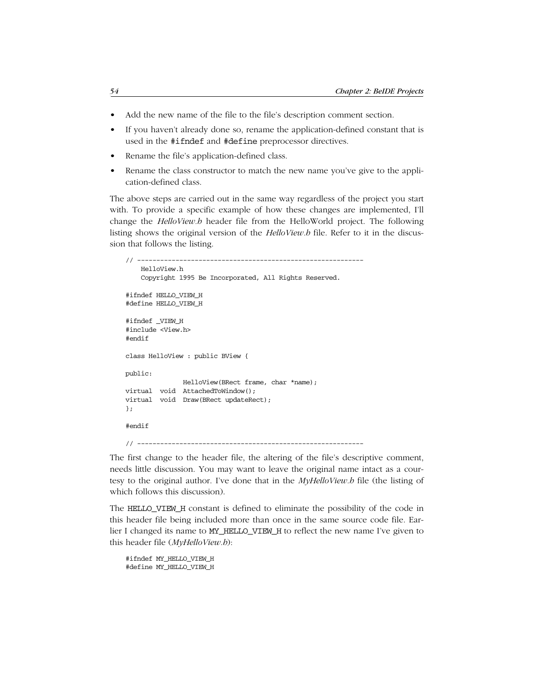- Add the new name of the file to the file's description comment section.
- If you haven't already done so, rename the application-defined constant that is used in the #ifndef and #define preprocessor directives.
- Rename the file's application-defined class.
- Rename the class constructor to match the new name you've give to the application-defined class.

The above steps are carried out in the same way regardless of the project you start with. To provide a specific example of how these changes are implemented, I'll change the *HelloView.h* header file from the HelloWorld project. The following listing shows the original version of the *HelloView.h* file. Refer to it in the discussion that follows the listing.

```
// -----------------------------------------------------------
     HelloView.h
     Copyright 1995 Be Incorporated, All Rights Reserved.
#ifndef HELLO_VIEW_H
#define HELLO_VIEW_H
#ifndef _VIEW_H
#include <View.h>
#endif
class HelloView : public BView {
public:
                  HelloView(BRect frame, char *name);
virtual void AttachedToWindow();
virtual void Draw(BRect updateRect);
};
#endif
// -----------------------------------------------------------
```
The first change to the header file, the altering of the file's descriptive comment, needs little discussion. You may want to leave the original name intact as a courtesy to the original author. I've done that in the *MyHelloView.h* file (the listing of which follows this discussion).

The HELLO\_VIEW\_H constant is defined to eliminate the possibility of the code in this header file being included more than once in the same source code file. Earlier I changed its name to MY\_HELLO\_VIEW\_H to reflect the new name I've given to this header file (*MyHelloView.h*):

```
#ifndef MY_HELLO_VIEW_H
#define MY_HELLO_VIEW_H
```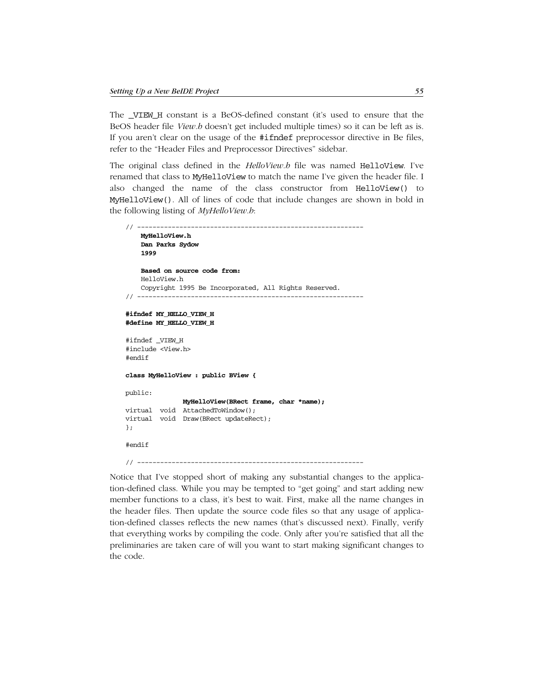The \_VIEW\_H constant is a BeOS-defined constant (it's used to ensure that the BeOS header file *View.h* doesn't get included multiple times) so it can be left as is. If you aren't clear on the usage of the #ifndef preprocessor directive in Be files, refer to the "Header Files and Preprocessor Directives" sidebar.

The original class defined in the *HelloView.h* file was named HelloView. I've renamed that class to MyHelloView to match the name I've given the header file. I also changed the name of the class constructor from HelloView() to MyHelloView(). All of lines of code that include changes are shown in bold in the following listing of *MyHelloView.h*:

```
// -----------------------------------------------------------
     MyHelloView.h
     Dan Parks Sydow
     1999
    Based on source code from:
    HelloView.h
     Copyright 1995 Be Incorporated, All Rights Reserved.
11 - 200#ifndef MY_HELLO_VIEW_H
#define MY_HELLO_VIEW_H
#ifndef _VIEW_H
#include <View.h>
#endif
class MyHelloView : public BView {
public:
               MyHelloView(BRect frame, char *name);
virtual void AttachedToWindow();
virtual void Draw(BRect updateRect);
};
#endif
// -----------------------------------------------------------
```
Notice that I've stopped short of making any substantial changes to the application-defined class. While you may be tempted to "get going" and start adding new member functions to a class, it's best to wait. First, make all the name changes in the header files. Then update the source code files so that any usage of application-defined classes reflects the new names (that's discussed next). Finally, verify that everything works by compiling the code. Only after you're satisfied that all the preliminaries are taken care of will you want to start making significant changes to the code.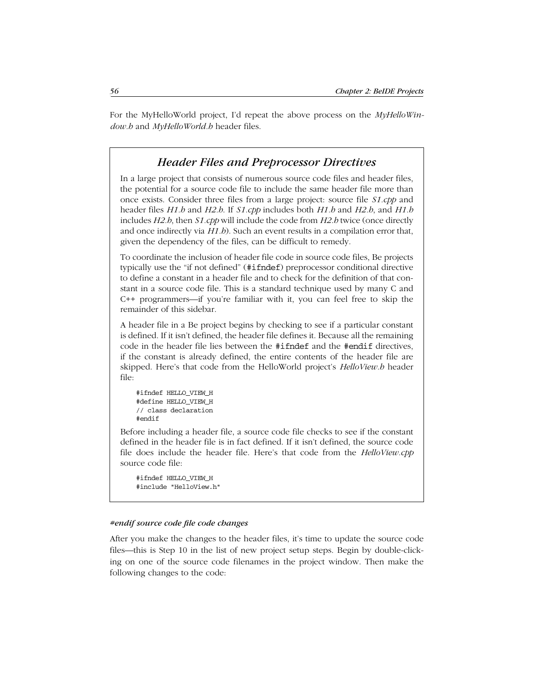For the MyHelloWorld project, I'd repeat the above process on the *MyHelloWindow.h* and *MyHelloWorld.h* header files.

# *Header Files and Preprocessor Directives*

In a large project that consists of numerous source code files and header files, the potential for a source code file to include the same header file more than once exists. Consider three files from a large project: source file *S1.cpp* and header files *H1.h* and *H2.h*. If *S1.cpp* includes both *H1.h* and *H2.h*, and *H1.h* includes *H2.h*, then *S1.cpp* will include the code from *H2.h* twice (once directly and once indirectly via *H1.h*). Such an event results in a compilation error that, given the dependency of the files, can be difficult to remedy.

To coordinate the inclusion of header file code in source code files, Be projects typically use the "if not defined" (#ifndef) preprocessor conditional directive to define a constant in a header file and to check for the definition of that constant in a source code file. This is a standard technique used by many C and C++ programmers—if you're familiar with it, you can feel free to skip the remainder of this sidebar.

A header file in a Be project begins by checking to see if a particular constant is defined. If it isn't defined, the header file defines it. Because all the remaining code in the header file lies between the #ifndef and the #endif directives, if the constant is already defined, the entire contents of the header file are skipped. Here's that code from the HelloWorld project's *HelloView.h* header file:

```
#ifndef HELLO_VIEW_H
#define HELLO_VIEW_H
// class declaration
#endif
```
Before including a header file, a source code file checks to see if the constant defined in the header file is in fact defined. If it isn't defined, the source code file does include the header file. Here's that code from the *HelloView.cpp* source code file:

```
#ifndef HELLO_VIEW_H
#include "HelloView.h"
```
#### *#endif source code file code changes*

After you make the changes to the header files, it's time to update the source code files—this is Step 10 in the list of new project setup steps. Begin by double-clicking on one of the source code filenames in the project window. Then make the following changes to the code: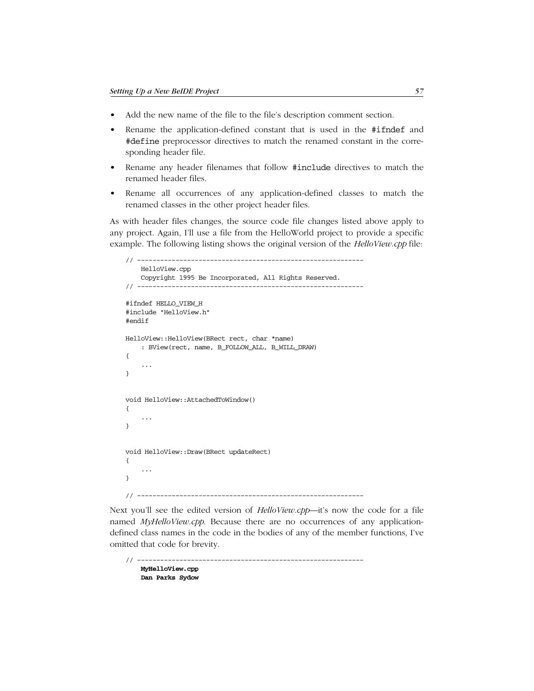- Add the new name of the file to the file's description comment section.
- Rename the application-defined constant that is used in the #ifndef and #define preprocessor directives to match the renamed constant in the corresponding header file.
- Rename any header filenames that follow #include directives to match the renamed header files.
- Rename all occurrences of any application-defined classes to match the renamed classes in the other project header files.

As with header files changes, the source code file changes listed above apply to any project. Again, I'll use a file from the HelloWorld project to provide a specific example. The following listing shows the original version of the *HelloView.cpp* file:

```
// -----------------------------------------------------------
     HelloView.cpp
     Copyright 1995 Be Incorporated, All Rights Reserved.
// -----------------------------------------------------------
#ifndef HELLO_VIEW_H
#include "HelloView.h"
#endif
HelloView::HelloView(BRect rect, char *name)
     : BView(rect, name, B_FOLLOW_ALL, B_WILL_DRAW)
{
     ...
}
void HelloView::AttachedToWindow()
{
     ...
}
void HelloView::Draw(BRect updateRect)
{
     ...
}
// -----------------------------------------------------------
```
Next you'll see the edited version of *HelloView.cpp—*it's now the code for a file named *MyHelloView.cpp*. Because there are no occurrences of any applicationdefined class names in the code in the bodies of any of the member functions, I've omitted that code for brevity.

// -----------------------------------------------------------  **MyHelloView.cpp Dan Parks Sydow**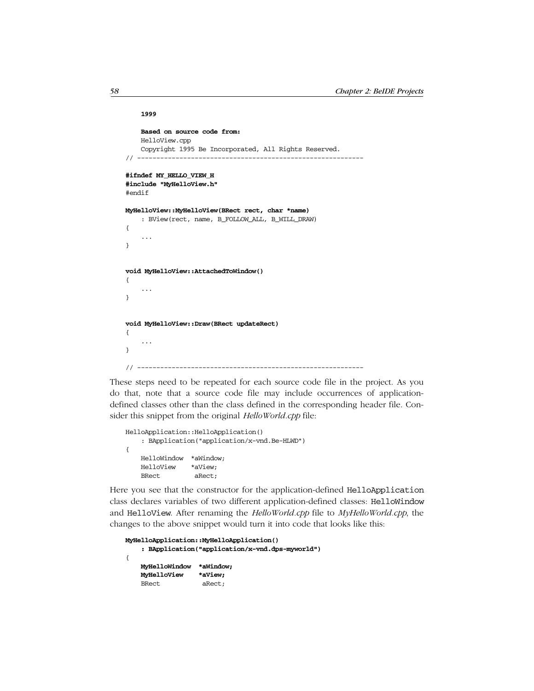```
 1999
     Based on source code from:
     HelloView.cpp
     Copyright 1995 Be Incorporated, All Rights Reserved.
// -----------------------------------------------------------
#ifndef MY_HELLO_VIEW_H
#include "MyHelloView.h"
#endif
MyHelloView::MyHelloView(BRect rect, char *name)
     : BView(rect, name, B_FOLLOW_ALL, B_WILL_DRAW)
{
     ...
}
void MyHelloView::AttachedToWindow()
{
     ...
}
void MyHelloView::Draw(BRect updateRect)
{
     ...
}
// -----------------------------------------------------------
```
These steps need to be repeated for each source code file in the project. As you do that, note that a source code file may include occurrences of applicationdefined classes other than the class defined in the corresponding header file. Consider this snippet from the original *HelloWorld.cpp* file:

```
HelloApplication::HelloApplication()
     : BApplication("application/x-vnd.Be-HLWD")
{
    HelloWindow *aWindow;
    HelloView *aView;
    BRect aRect;
```
Here you see that the constructor for the application-defined HelloApplication class declares variables of two different application-defined classes: HelloWindow and HelloView. After renaming the *HelloWorld.cpp* file to *MyHelloWorld.cpp*, the changes to the above snippet would turn it into code that looks like this:

```
MyHelloApplication::MyHelloApplication()
     : BApplication("application/x-vnd.dps-myworld")
{
    MyHelloWindow *aWindow;
    MyHelloView *aView;
    BRect aRect;
```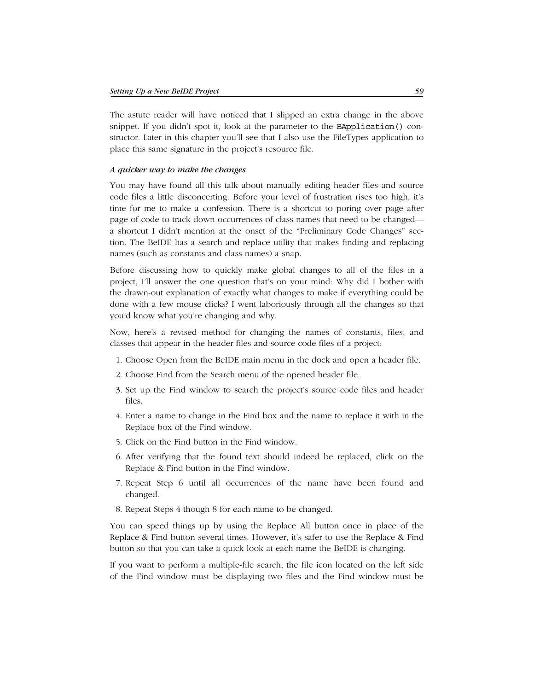The astute reader will have noticed that I slipped an extra change in the above snippet. If you didn't spot it, look at the parameter to the BApplication() constructor. Later in this chapter you'll see that I also use the FileTypes application to place this same signature in the project's resource file.

#### *A quicker way to make the changes*

You may have found all this talk about manually editing header files and source code files a little disconcerting. Before your level of frustration rises too high, it's time for me to make a confession. There is a shortcut to poring over page after page of code to track down occurrences of class names that need to be changed a shortcut I didn't mention at the onset of the "Preliminary Code Changes" section. The BeIDE has a search and replace utility that makes finding and replacing names (such as constants and class names) a snap.

Before discussing how to quickly make global changes to all of the files in a project, I'll answer the one question that's on your mind: Why did I bother with the drawn-out explanation of exactly what changes to make if everything could be done with a few mouse clicks? I went laboriously through all the changes so that you'd know what you're changing and why.

Now, here's a revised method for changing the names of constants, files, and classes that appear in the header files and source code files of a project:

- 1. Choose Open from the BeIDE main menu in the dock and open a header file.
- 2. Choose Find from the Search menu of the opened header file.
- 3. Set up the Find window to search the project's source code files and header files.
- 4. Enter a name to change in the Find box and the name to replace it with in the Replace box of the Find window.
- 5. Click on the Find button in the Find window.
- 6. After verifying that the found text should indeed be replaced, click on the Replace & Find button in the Find window.
- 7. Repeat Step 6 until all occurrences of the name have been found and changed.
- 8. Repeat Steps 4 though 8 for each name to be changed.

You can speed things up by using the Replace All button once in place of the Replace & Find button several times. However, it's safer to use the Replace & Find button so that you can take a quick look at each name the BeIDE is changing.

If you want to perform a multiple-file search, the file icon located on the left side of the Find window must be displaying two files and the Find window must be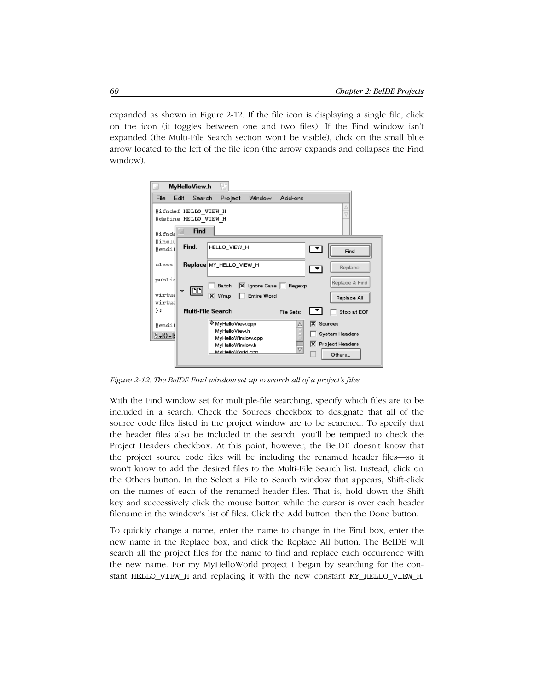expanded as shown in Figure 2-12. If the file icon is displaying a single file, click on the icon (it toggles between one and two files). If the Find window isn't expanded (the Multi-File Search section won't be visible), click on the small blue arrow located to the left of the file icon (the arrow expands and collapses the Find window).



*Figure 2-12. The BeIDE Find window set up to search all of a project's files*

With the Find window set for multiple-file searching, specify which files are to be included in a search. Check the Sources checkbox to designate that all of the source code files listed in the project window are to be searched. To specify that the header files also be included in the search, you'll be tempted to check the Project Headers checkbox. At this point, however, the BeIDE doesn't know that the project source code files will be including the renamed header files—so it won't know to add the desired files to the Multi-File Search list. Instead, click on the Others button. In the Select a File to Search window that appears, Shift-click on the names of each of the renamed header files. That is, hold down the Shift key and successively click the mouse button while the cursor is over each header filename in the window's list of files. Click the Add button, then the Done button.

To quickly change a name, enter the name to change in the Find box, enter the new name in the Replace box, and click the Replace All button. The BeIDE will search all the project files for the name to find and replace each occurrence with the new name. For my MyHelloWorld project I began by searching for the constant HELLO\_VIEW\_H and replacing it with the new constant MY\_HELLO\_VIEW\_H.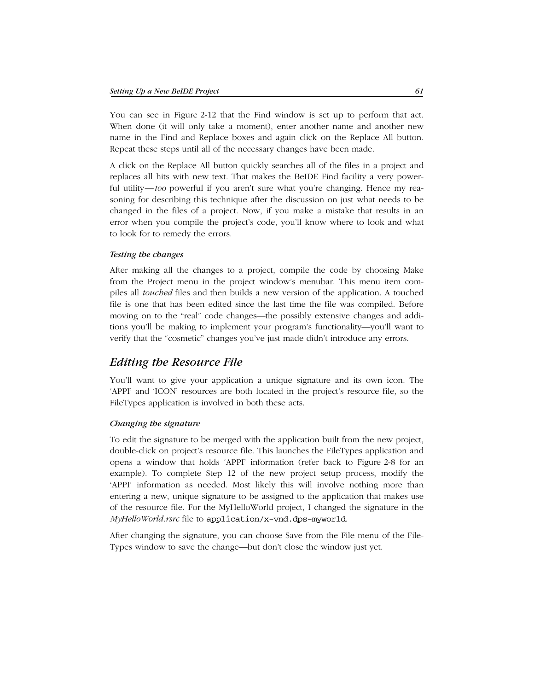You can see in Figure 2-12 that the Find window is set up to perform that act. When done (it will only take a moment), enter another name and another new name in the Find and Replace boxes and again click on the Replace All button. Repeat these steps until all of the necessary changes have been made.

A click on the Replace All button quickly searches all of the files in a project and replaces all hits with new text. That makes the BeIDE Find facility a very powerful utility—*too* powerful if you aren't sure what you're changing. Hence my reasoning for describing this technique after the discussion on just what needs to be changed in the files of a project. Now, if you make a mistake that results in an error when you compile the project's code, you'll know where to look and what to look for to remedy the errors.

#### *Testing the changes*

After making all the changes to a project, compile the code by choosing Make from the Project menu in the project window's menubar. This menu item compiles all *touched* files and then builds a new version of the application. A touched file is one that has been edited since the last time the file was compiled. Before moving on to the "real" code changes—the possibly extensive changes and additions you'll be making to implement your program's functionality—you'll want to verify that the "cosmetic" changes you've just made didn't introduce any errors.

## *Editing the Resource File*

You'll want to give your application a unique signature and its own icon. The 'APPI' and 'ICON' resources are both located in the project's resource file, so the FileTypes application is involved in both these acts.

#### *Changing the signature*

To edit the signature to be merged with the application built from the new project, double-click on project's resource file. This launches the FileTypes application and opens a window that holds 'APPI' information (refer back to Figure 2-8 for an example). To complete Step 12 of the new project setup process, modify the 'APPI' information as needed. Most likely this will involve nothing more than entering a new, unique signature to be assigned to the application that makes use of the resource file. For the MyHelloWorld project, I changed the signature in the *MyHelloWorld.rsrc* file to application/x-vnd.dps-myworld.

After changing the signature, you can choose Save from the File menu of the File-Types window to save the change—but don't close the window just yet.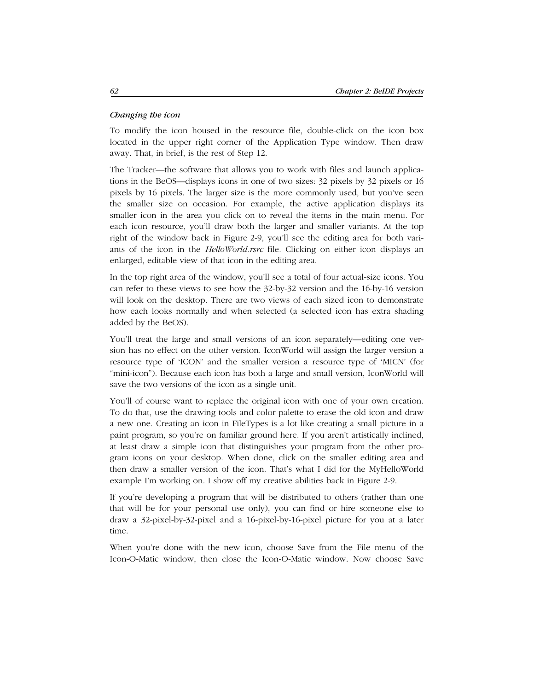#### *Changing the icon*

To modify the icon housed in the resource file, double-click on the icon box located in the upper right corner of the Application Type window. Then draw away. That, in brief, is the rest of Step 12.

The Tracker—the software that allows you to work with files and launch applications in the BeOS—displays icons in one of two sizes: 32 pixels by 32 pixels or 16 pixels by 16 pixels. The larger size is the more commonly used, but you've seen the smaller size on occasion. For example, the active application displays its smaller icon in the area you click on to reveal the items in the main menu. For each icon resource, you'll draw both the larger and smaller variants. At the top right of the window back in Figure 2-9, you'll see the editing area for both variants of the icon in the *HelloWorld.rsrc* file. Clicking on either icon displays an enlarged, editable view of that icon in the editing area.

In the top right area of the window, you'll see a total of four actual-size icons. You can refer to these views to see how the 32-by-32 version and the 16-by-16 version will look on the desktop. There are two views of each sized icon to demonstrate how each looks normally and when selected (a selected icon has extra shading added by the BeOS).

You'll treat the large and small versions of an icon separately—editing one version has no effect on the other version. IconWorld will assign the larger version a resource type of 'ICON' and the smaller version a resource type of 'MICN' (for "mini-icon"). Because each icon has both a large and small version, IconWorld will save the two versions of the icon as a single unit.

You'll of course want to replace the original icon with one of your own creation. To do that, use the drawing tools and color palette to erase the old icon and draw a new one. Creating an icon in FileTypes is a lot like creating a small picture in a paint program, so you're on familiar ground here. If you aren't artistically inclined, at least draw a simple icon that distinguishes your program from the other program icons on your desktop. When done, click on the smaller editing area and then draw a smaller version of the icon. That's what I did for the MyHelloWorld example I'm working on. I show off my creative abilities back in Figure 2-9.

If you're developing a program that will be distributed to others (rather than one that will be for your personal use only), you can find or hire someone else to draw a 32-pixel-by-32-pixel and a 16-pixel-by-16-pixel picture for you at a later time.

When you're done with the new icon, choose Save from the File menu of the Icon-O-Matic window, then close the Icon-O-Matic window. Now choose Save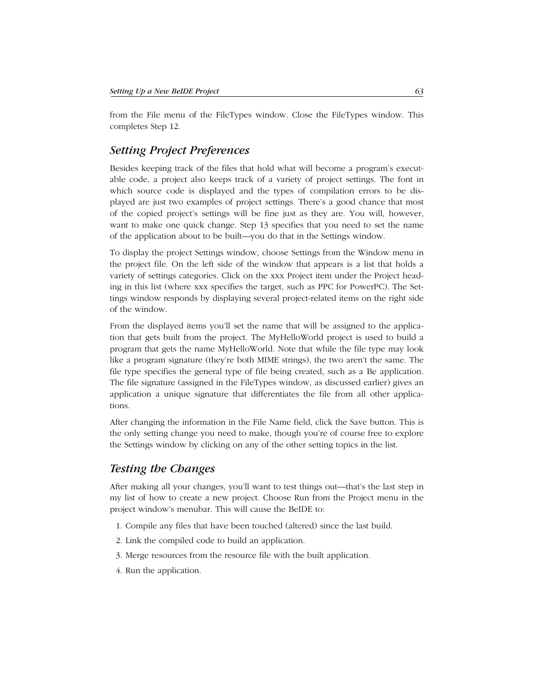from the File menu of the FileTypes window. Close the FileTypes window. This completes Step 12.

# *Setting Project Preferences*

Besides keeping track of the files that hold what will become a program's executable code, a project also keeps track of a variety of project settings. The font in which source code is displayed and the types of compilation errors to be displayed are just two examples of project settings. There's a good chance that most of the copied project's settings will be fine just as they are. You will, however, want to make one quick change. Step 13 specifies that you need to set the name of the application about to be built—you do that in the Settings window.

To display the project Settings window, choose Settings from the Window menu in the project file. On the left side of the window that appears is a list that holds a variety of settings categories. Click on the xxx Project item under the Project heading in this list (where xxx specifies the target, such as PPC for PowerPC). The Settings window responds by displaying several project-related items on the right side of the window.

From the displayed items you'll set the name that will be assigned to the application that gets built from the project. The MyHelloWorld project is used to build a program that gets the name MyHelloWorld. Note that while the file type may look like a program signature (they're both MIME strings), the two aren't the same. The file type specifies the general type of file being created, such as a Be application. The file signature (assigned in the FileTypes window, as discussed earlier) gives an application a unique signature that differentiates the file from all other applications.

After changing the information in the File Name field, click the Save button. This is the only setting change you need to make, though you're of course free to explore the Settings window by clicking on any of the other setting topics in the list.

# *Testing the Changes*

After making all your changes, you'll want to test things out—that's the last step in my list of how to create a new project. Choose Run from the Project menu in the project window's menubar. This will cause the BeIDE to:

- 1. Compile any files that have been touched (altered) since the last build.
- 2. Link the compiled code to build an application.
- 3. Merge resources from the resource file with the built application.
- 4. Run the application.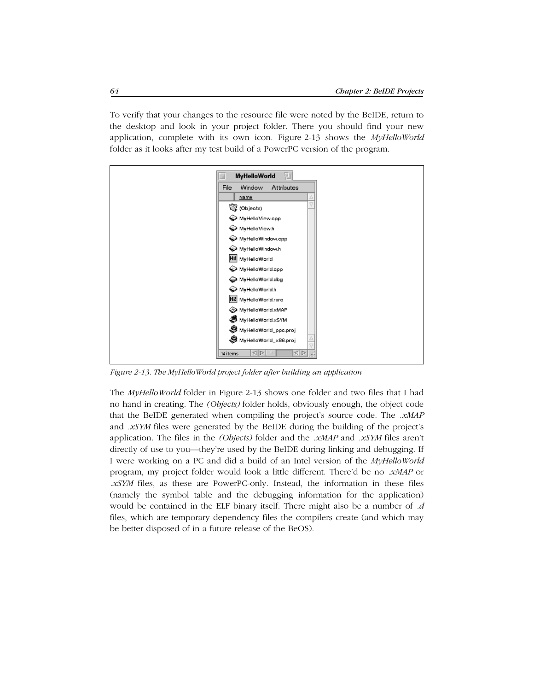To verify that your changes to the resource file were noted by the BeIDE, return to the desktop and look in your project folder. There you should find your new application, complete with its own icon. Figure 2-13 shows the *MyHelloWorld* folder as it looks after my test build of a PowerPC version of the program.



*Figure 2-13. The MyHelloWorld project folder after building an application*

The *MyHelloWorld* folder in Figure 2-13 shows one folder and two files that I had no hand in creating. The *(Objects)* folder holds, obviously enough, the object code that the BeIDE generated when compiling the project's source code. The *.xMAP* and *.xSYM* files were generated by the BeIDE during the building of the project's application. The files in the *(Objects)* folder and the *.xMAP* and *.xSYM* files aren't directly of use to you—they're used by the BeIDE during linking and debugging. If I were working on a PC and did a build of an Intel version of the *MyHelloWorld* program, my project folder would look a little different. There'd be no *.xMAP* or *.xSYM* files, as these are PowerPC-only. Instead, the information in these files (namely the symbol table and the debugging information for the application) would be contained in the ELF binary itself. There might also be a number of *.d* files, which are temporary dependency files the compilers create (and which may be better disposed of in a future release of the BeOS).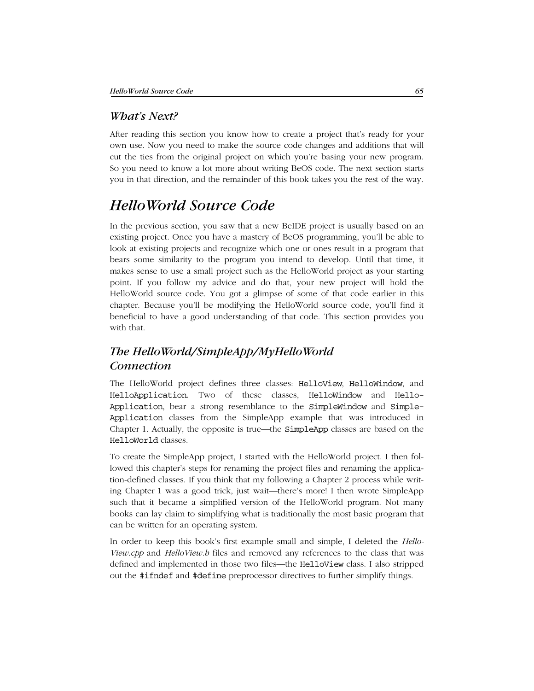## *What's Next?*

After reading this section you know how to create a project that's ready for your own use. Now you need to make the source code changes and additions that will cut the ties from the original project on which you're basing your new program. So you need to know a lot more about writing BeOS code. The next section starts you in that direction, and the remainder of this book takes you the rest of the way.

# *HelloWorld Source Code*

In the previous section, you saw that a new BeIDE project is usually based on an existing project. Once you have a mastery of BeOS programming, you'll be able to look at existing projects and recognize which one or ones result in a program that bears some similarity to the program you intend to develop. Until that time, it makes sense to use a small project such as the HelloWorld project as your starting point. If you follow my advice and do that, your new project will hold the HelloWorld source code. You got a glimpse of some of that code earlier in this chapter. Because you'll be modifying the HelloWorld source code, you'll find it beneficial to have a good understanding of that code. This section provides you with that.

# *The HelloWorld/SimpleApp/MyHelloWorld Connection*

The HelloWorld project defines three classes: HelloView, HelloWindow, and HelloApplication. Two of these classes, HelloWindow and Hello-Application, bear a strong resemblance to the SimpleWindow and Simple-Application classes from the SimpleApp example that was introduced in Chapter 1. Actually, the opposite is true—the SimpleApp classes are based on the HelloWorld classes.

To create the SimpleApp project, I started with the HelloWorld project. I then followed this chapter's steps for renaming the project files and renaming the application-defined classes. If you think that my following a Chapter 2 process while writing Chapter 1 was a good trick, just wait—there's more! I then wrote SimpleApp such that it became a simplified version of the HelloWorld program. Not many books can lay claim to simplifying what is traditionally the most basic program that can be written for an operating system.

In order to keep this book's first example small and simple, I deleted the *Hello-View.cpp* and *HelloView.h* files and removed any references to the class that was defined and implemented in those two files—the HelloView class. I also stripped out the #ifndef and #define preprocessor directives to further simplify things.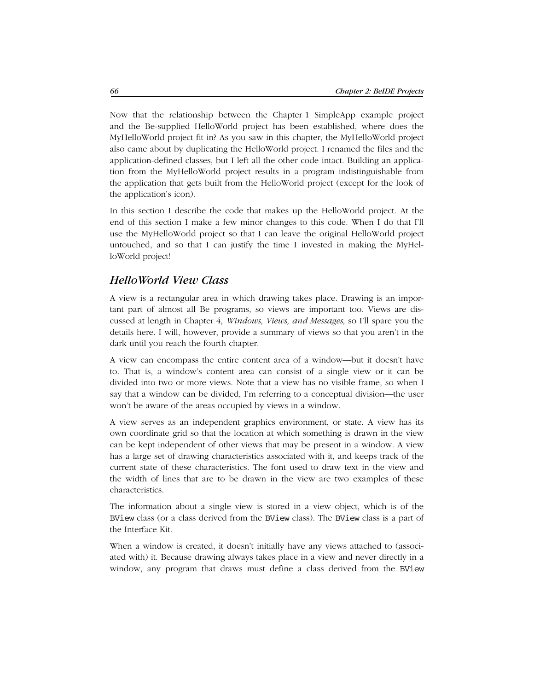Now that the relationship between the Chapter 1 SimpleApp example project and the Be-supplied HelloWorld project has been established, where does the MyHelloWorld project fit in? As you saw in this chapter, the MyHelloWorld project also came about by duplicating the HelloWorld project. I renamed the files and the application-defined classes, but I left all the other code intact. Building an application from the MyHelloWorld project results in a program indistinguishable from the application that gets built from the HelloWorld project (except for the look of the application's icon).

In this section I describe the code that makes up the HelloWorld project. At the end of this section I make a few minor changes to this code. When I do that I'll use the MyHelloWorld project so that I can leave the original HelloWorld project untouched, and so that I can justify the time I invested in making the MyHelloWorld project!

## *HelloWorld View Class*

A view is a rectangular area in which drawing takes place. Drawing is an important part of almost all Be programs, so views are important too. Views are discussed at length in Chapter 4, *Windows, Views, and Messages*, so I'll spare you the details here. I will, however, provide a summary of views so that you aren't in the dark until you reach the fourth chapter.

A view can encompass the entire content area of a window—but it doesn't have to. That is, a window's content area can consist of a single view or it can be divided into two or more views. Note that a view has no visible frame, so when I say that a window can be divided, I'm referring to a conceptual division—the user won't be aware of the areas occupied by views in a window.

A view serves as an independent graphics environment, or state. A view has its own coordinate grid so that the location at which something is drawn in the view can be kept independent of other views that may be present in a window. A view has a large set of drawing characteristics associated with it, and keeps track of the current state of these characteristics. The font used to draw text in the view and the width of lines that are to be drawn in the view are two examples of these characteristics.

The information about a single view is stored in a view object, which is of the BView class (or a class derived from the BView class). The BView class is a part of the Interface Kit.

When a window is created, it doesn't initially have any views attached to (associated with) it. Because drawing always takes place in a view and never directly in a window, any program that draws must define a class derived from the BView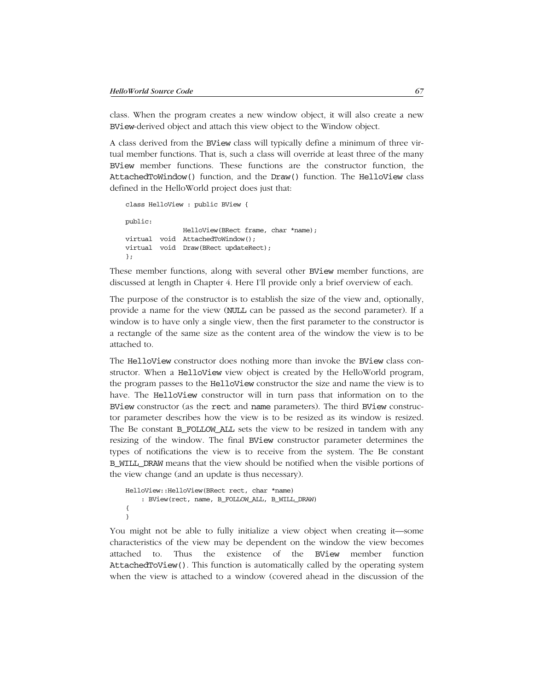class. When the program creates a new window object, it will also create a new BView-derived object and attach this view object to the Window object.

A class derived from the BView class will typically define a minimum of three virtual member functions. That is, such a class will override at least three of the many BView member functions. These functions are the constructor function, the AttachedToWindow() function, and the Draw() function. The HelloView class defined in the HelloWorld project does just that:

```
class HelloView : public BView {
public:
                HelloView(BRect frame, char *name);
virtual void AttachedToWindow();
virtual void Draw(BRect updateRect);
};
```
These member functions, along with several other BView member functions, are discussed at length in Chapter 4. Here I'll provide only a brief overview of each.

The purpose of the constructor is to establish the size of the view and, optionally, provide a name for the view (NULL can be passed as the second parameter). If a window is to have only a single view, then the first parameter to the constructor is a rectangle of the same size as the content area of the window the view is to be attached to.

The HelloView constructor does nothing more than invoke the BView class constructor. When a HelloView view object is created by the HelloWorld program, the program passes to the HelloView constructor the size and name the view is to have. The HelloView constructor will in turn pass that information on to the BView constructor (as the rect and name parameters). The third BView constructor parameter describes how the view is to be resized as its window is resized. The Be constant B\_FOLLOW\_ALL sets the view to be resized in tandem with any resizing of the window. The final BView constructor parameter determines the types of notifications the view is to receive from the system. The Be constant B\_WILL\_DRAW means that the view should be notified when the visible portions of the view change (and an update is thus necessary).

```
HelloView::HelloView(BRect rect, char *name)
     : BView(rect, name, B_FOLLOW_ALL, B_WILL_DRAW)
{
}
```
You might not be able to fully initialize a view object when creating it—some characteristics of the view may be dependent on the window the view becomes attached to. Thus the existence of the BView member function AttachedToView(). This function is automatically called by the operating system when the view is attached to a window (covered ahead in the discussion of the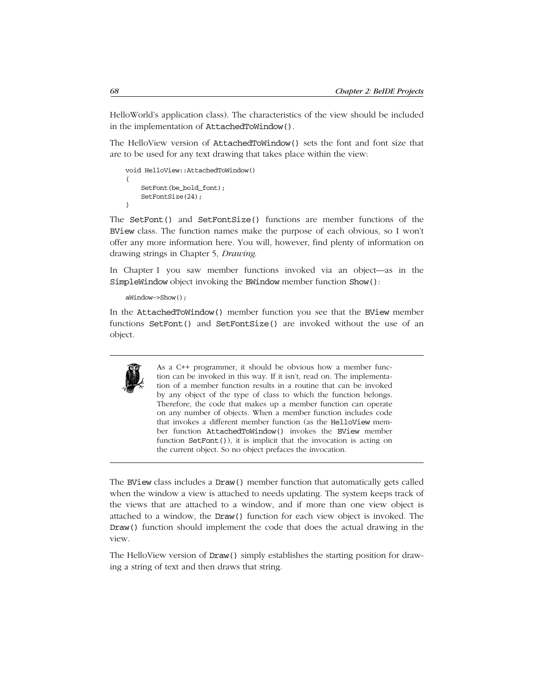HelloWorld's application class). The characteristics of the view should be included in the implementation of AttachedToWindow().

The HelloView version of AttachedToWindow() sets the font and font size that are to be used for any text drawing that takes place within the view:

```
void HelloView::AttachedToWindow()
{
     SetFont(be_bold_font);
    SetFontSize(24);
}
```
The SetFont() and SetFontSize() functions are member functions of the BView class. The function names make the purpose of each obvious, so I won't offer any more information here. You will, however, find plenty of information on drawing strings in Chapter 5, *Drawing*.

In Chapter 1 you saw member functions invoked via an object—as in the SimpleWindow object invoking the BWindow member function Show():

```
aWindow->Show();
```
In the AttachedToWindow() member function you see that the BView member functions SetFont() and SetFontSize() are invoked without the use of an object.



As a C++ programmer, it should be obvious how a member function can be invoked in this way. If it isn't, read on. The implementation of a member function results in a routine that can be invoked by any object of the type of class to which the function belongs. Therefore, the code that makes up a member function can operate on any number of objects. When a member function includes code that invokes a different member function (as the HelloView member function AttachedToWindow() invokes the BView member function SetFont()), it is implicit that the invocation is acting on the current object. So no object prefaces the invocation.

The BView class includes a Draw() member function that automatically gets called when the window a view is attached to needs updating. The system keeps track of the views that are attached to a window, and if more than one view object is attached to a window, the Draw() function for each view object is invoked. The Draw() function should implement the code that does the actual drawing in the view.

The HelloView version of Draw() simply establishes the starting position for drawing a string of text and then draws that string.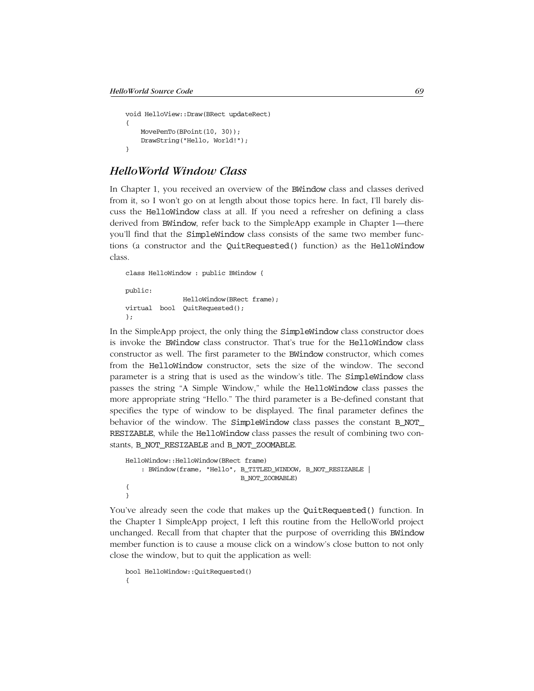```
void HelloView::Draw(BRect updateRect)
{
    MovePenTo(BPoint(10, 30));
     DrawString("Hello, World!");
}
```
## *HelloWorld Window Class*

In Chapter 1, you received an overview of the BWindow class and classes derived from it, so I won't go on at length about those topics here. In fact, I'll barely discuss the HelloWindow class at all. If you need a refresher on defining a class derived from BWindow, refer back to the SimpleApp example in Chapter 1—there you'll find that the SimpleWindow class consists of the same two member functions (a constructor and the QuitRequested() function) as the HelloWindow class.

```
class HelloWindow : public BWindow {
public:
                HelloWindow(BRect frame);
virtual bool QuitRequested();
};
```
In the SimpleApp project, the only thing the SimpleWindow class constructor does is invoke the BWindow class constructor. That's true for the HelloWindow class constructor as well. The first parameter to the BWindow constructor, which comes from the HelloWindow constructor, sets the size of the window. The second parameter is a string that is used as the window's title. The SimpleWindow class passes the string "A Simple Window," while the HelloWindow class passes the more appropriate string "Hello." The third parameter is a Be-defined constant that specifies the type of window to be displayed. The final parameter defines the behavior of the window. The SimpleWindow class passes the constant B\_NOT\_ RESIZABLE, while the HelloWindow class passes the result of combining two constants, B\_NOT\_RESIZABLE and B\_NOT\_ZOOMABLE.

```
HelloWindow::HelloWindow(BRect frame)
     : BWindow(frame, "Hello", B_TITLED_WINDOW, B_NOT_RESIZABLE |
                                B_NOT_ZOOMABLE)
{
}
```
You've already seen the code that makes up the QuitRequested() function. In the Chapter 1 SimpleApp project, I left this routine from the HelloWorld project unchanged. Recall from that chapter that the purpose of overriding this BWindow member function is to cause a mouse click on a window's close button to not only close the window, but to quit the application as well:

```
bool HelloWindow::QuitRequested()
{
```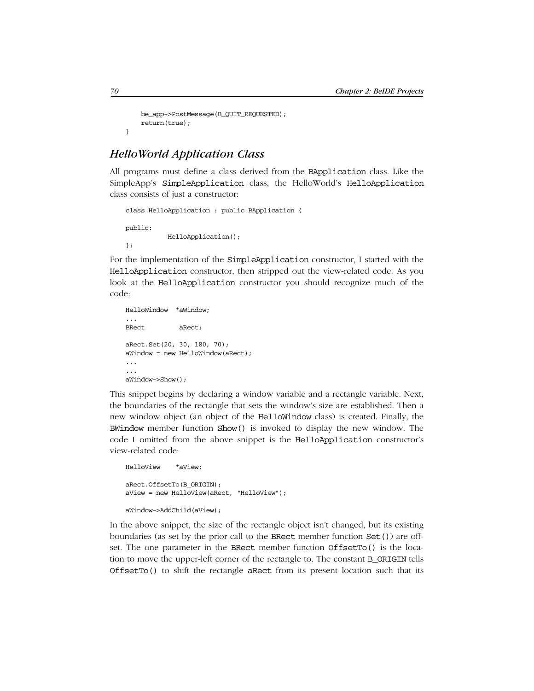```
 be_app->PostMessage(B_QUIT_REQUESTED);
 return(true);
```
# *HelloWorld Application Class*

All programs must define a class derived from the BApplication class. Like the SimpleApp's SimpleApplication class, the HelloWorld's HelloApplication class consists of just a constructor:

```
class HelloApplication : public BApplication {
public:
            HelloApplication();
};
```
For the implementation of the SimpleApplication constructor, I started with the HelloApplication constructor, then stripped out the view-related code. As you look at the HelloApplication constructor you should recognize much of the code:

```
HelloWindow *aWindow;
...
BRect aRect;
aRect.Set(20, 30, 180, 70);
aWindow = new HelloWindow(aRect);
...
...
aWindow->Show();
```
This snippet begins by declaring a window variable and a rectangle variable. Next, the boundaries of the rectangle that sets the window's size are established. Then a new window object (an object of the HelloWindow class) is created. Finally, the BWindow member function Show() is invoked to display the new window. The code I omitted from the above snippet is the HelloApplication constructor's view-related code:

```
HelloView *aView;
aRect.OffsetTo(B_ORIGIN);
aView = new HelloView(aRect, "HelloView");
aWindow->AddChild(aView);
```
In the above snippet, the size of the rectangle object isn't changed, but its existing boundaries (as set by the prior call to the BRect member function Set()) are offset. The one parameter in the BRect member function OffsetTo() is the location to move the upper-left corner of the rectangle to. The constant B\_ORIGIN tells OffsetTo() to shift the rectangle aRect from its present location such that its

}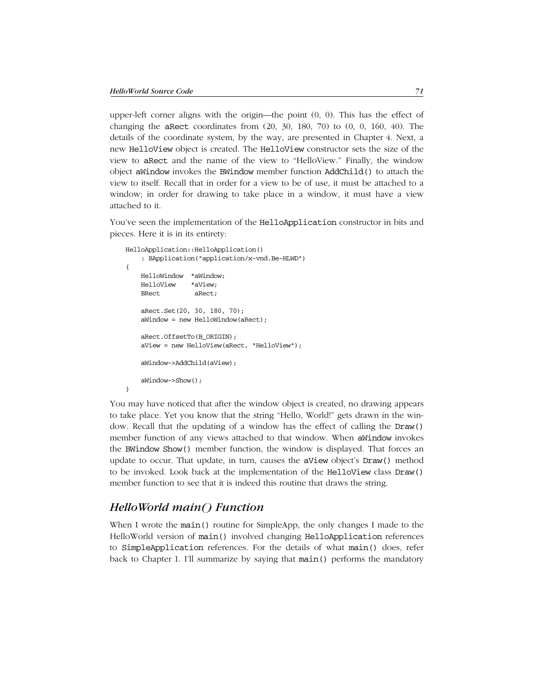upper-left corner aligns with the origin—the point (0, 0). This has the effect of changing the **aRect** coordinates from  $(20, 30, 180, 70)$  to  $(0, 0, 160, 40)$ . The details of the coordinate system, by the way, are presented in Chapter 4. Next, a new HelloView object is created. The HelloView constructor sets the size of the view to aRect and the name of the view to "HelloView." Finally, the window object aWindow invokes the BWindow member function AddChild() to attach the view to itself. Recall that in order for a view to be of use, it must be attached to a window; in order for drawing to take place in a window, it must have a view attached to it.

You've seen the implementation of the HelloApplication constructor in bits and pieces. Here it is in its entirety:

```
HelloApplication::HelloApplication()
     : BApplication("application/x-vnd.Be-HLWD")
{
     HelloWindow *aWindow;
     HelloView *aView;
     BRect aRect;
     aRect.Set(20, 30, 180, 70);
     aWindow = new HelloWindow(aRect);
     aRect.OffsetTo(B_ORIGIN);
     aView = new HelloView(aRect, "HelloView");
     aWindow->AddChild(aView);
     aWindow->Show();
}
```
You may have noticed that after the window object is created, no drawing appears to take place. Yet you know that the string "Hello, World!" gets drawn in the window. Recall that the updating of a window has the effect of calling the Draw() member function of any views attached to that window. When aWindow invokes the BWindow Show() member function, the window is displayed. That forces an update to occur. That update, in turn, causes the aView object's Draw() method to be invoked. Look back at the implementation of the HelloView class Draw() member function to see that it is indeed this routine that draws the string.

## *HelloWorld main() Function*

When I wrote the main() routine for SimpleApp, the only changes I made to the HelloWorld version of main() involved changing HelloApplication references to SimpleApplication references. For the details of what main() does, refer back to Chapter 1. I'll summarize by saying that main() performs the mandatory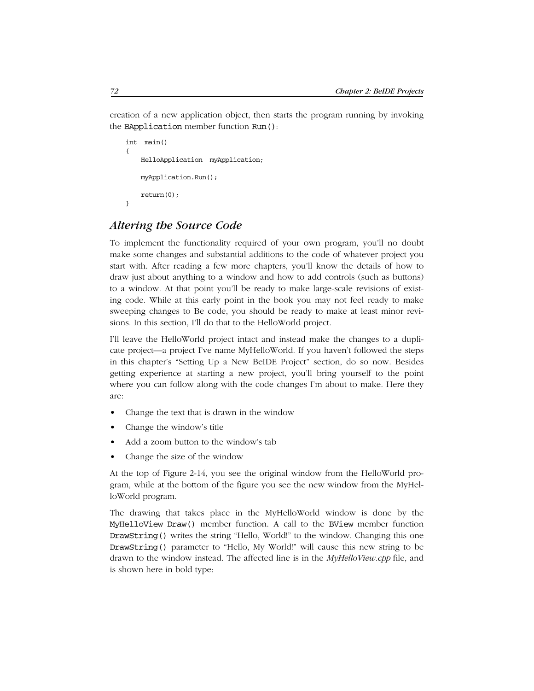creation of a new application object, then starts the program running by invoking the BApplication member function Run():

```
int main()
{
     HelloApplication myApplication;
     myApplication.Run();
     return(0);
}
```
# *Altering the Source Code*

To implement the functionality required of your own program, you'll no doubt make some changes and substantial additions to the code of whatever project you start with. After reading a few more chapters, you'll know the details of how to draw just about anything to a window and how to add controls (such as buttons) to a window. At that point you'll be ready to make large-scale revisions of existing code. While at this early point in the book you may not feel ready to make sweeping changes to Be code, you should be ready to make at least minor revisions. In this section, I'll do that to the HelloWorld project.

I'll leave the HelloWorld project intact and instead make the changes to a duplicate project—a project I've name MyHelloWorld. If you haven't followed the steps in this chapter's "Setting Up a New BeIDE Project" section, do so now. Besides getting experience at starting a new project, you'll bring yourself to the point where you can follow along with the code changes I'm about to make. Here they are:

- Change the text that is drawn in the window
- Change the window's title
- Add a zoom button to the window's tab
- Change the size of the window

At the top of Figure 2-14, you see the original window from the HelloWorld program, while at the bottom of the figure you see the new window from the MyHelloWorld program.

The drawing that takes place in the MyHelloWorld window is done by the MyHelloView Draw() member function. A call to the BView member function DrawString() writes the string "Hello, World!" to the window. Changing this one DrawString() parameter to "Hello, My World!" will cause this new string to be drawn to the window instead. The affected line is in the *MyHelloView.cpp* file, and is shown here in bold type: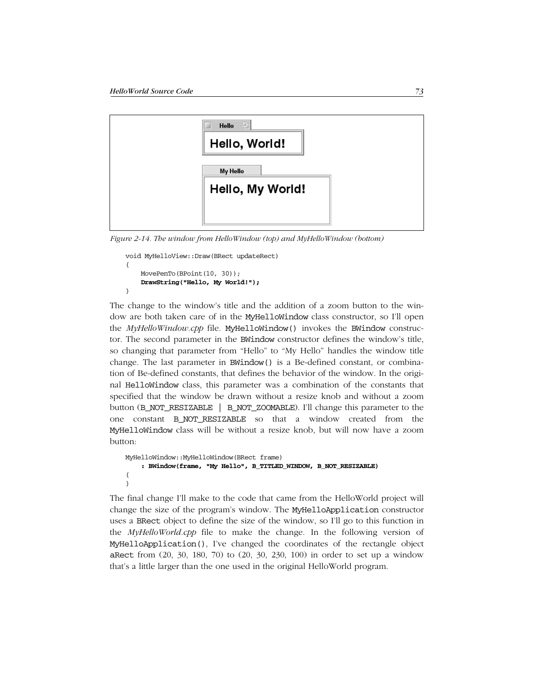

*Figure 2-14. The window from HelloWindow (top) and MyHelloWindow (bottom)*

```
void MyHelloView::Draw(BRect updateRect)
{
     MovePenTo(BPoint(10, 30));
     DrawString("Hello, My World!");
}
```
The change to the window's title and the addition of a zoom button to the window are both taken care of in the MyHelloWindow class constructor, so I'll open the *MyHelloWindow.cpp* file. MyHelloWindow() invokes the BWindow constructor. The second parameter in the BWindow constructor defines the window's title, so changing that parameter from "Hello" to "My Hello" handles the window title change. The last parameter in BWindow() is a Be-defined constant, or combination of Be-defined constants, that defines the behavior of the window. In the original HelloWindow class, this parameter was a combination of the constants that specified that the window be drawn without a resize knob and without a zoom button (B\_NOT\_RESIZABLE | B\_NOT\_ZOOMABLE). I'll change this parameter to the one constant B\_NOT\_RESIZABLE so that a window created from the MyHelloWindow class will be without a resize knob, but will now have a zoom button:

```
MyHelloWindow::MyHelloWindow(BRect frame)
     : BWindow(frame, "My Hello", B_TITLED_WINDOW, B_NOT_RESIZABLE)
{
}
```
The final change I'll make to the code that came from the HelloWorld project will change the size of the program's window. The MyHelloApplication constructor uses a BRect object to define the size of the window, so I'll go to this function in the *MyHelloWorld.cpp* file to make the change. In the following version of MyHelloApplication(), I've changed the coordinates of the rectangle object aRect from (20, 30, 180, 70) to (20, 30, 230, 100) in order to set up a window that's a little larger than the one used in the original HelloWorld program.